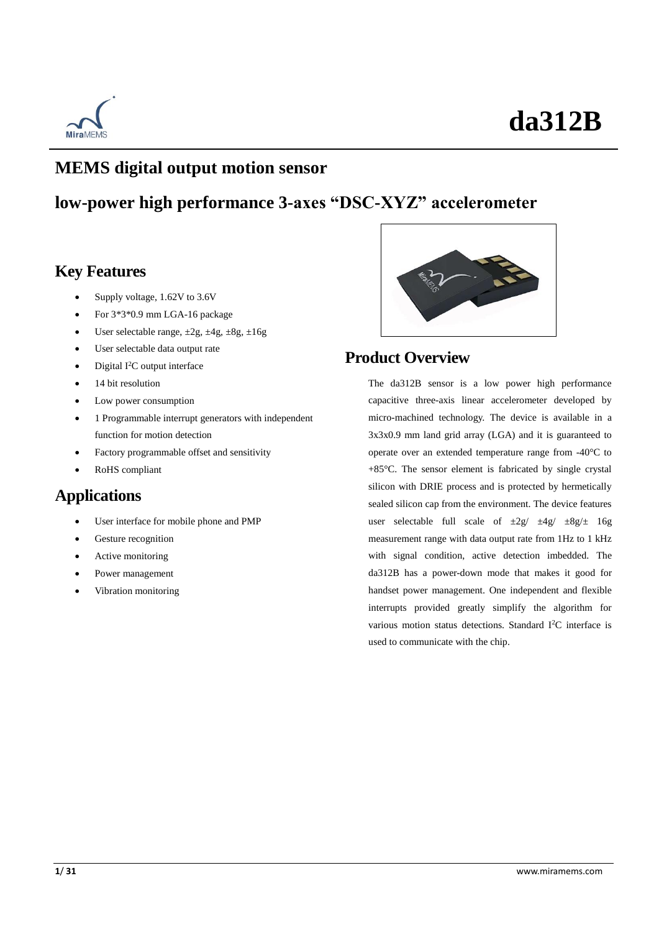

### **MEMS digital output motion sensor**

### **low-power high performance 3-axes "DSC-XYZ" accelerometer**

### **Key Features**

- Supply voltage, 1.62V to 3.6V
- For 3\*3\*0.9 mm LGA-16 package
- User selectable range,  $\pm 2g$ ,  $\pm 4g$ ,  $\pm 8g$ ,  $\pm 16g$
- User selectable data output rate
- Digital I<sup>2</sup>C output interface
- 14 bit resolution
- Low power consumption
- 1 Programmable interrupt generators with independent function for motion detection
- Factory programmable offset and sensitivity
- RoHS compliant

### **Applications**

- User interface for mobile phone and PMP
- Gesture recognition
- Active monitoring
- Power management
- Vibration monitoring



### **Product Overview**

The da312B sensor is a low power high performance capacitive three-axis linear accelerometer developed by micro-machined technology. The device is available in a 3x3x0.9 mm land grid array (LGA) and it is guaranteed to operate over an extended temperature range from -40  $\mathbb C$  to +85°C. The sensor element is fabricated by single crystal silicon with DRIE process and is protected by hermetically sealed silicon cap from the environment. The device features user selectable full scale of  $\pm 2g / \pm 4g / \pm 8g/\pm 16g$ measurement range with data output rate from 1Hz to 1 kHz with signal condition, active detection imbedded. The da312B has a power-down mode that makes it good for handset power management. One independent and flexible interrupts provided greatly simplify the algorithm for various motion status detections. Standard I<sup>2</sup>C interface is used to communicate with the chip.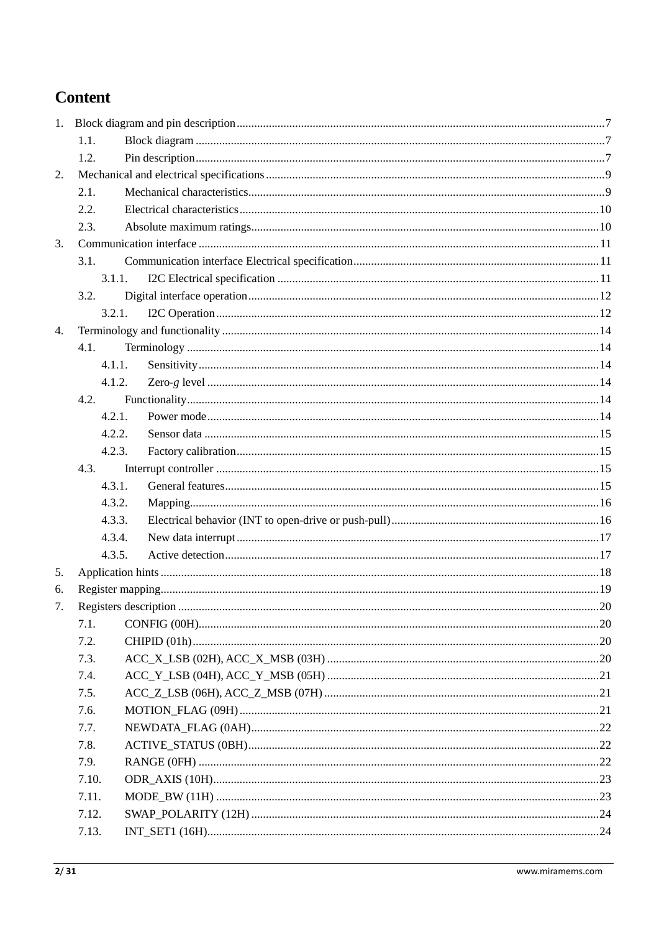### **Content**

|    | 1.1.   |  |  |  |  |
|----|--------|--|--|--|--|
|    | 1.2.   |  |  |  |  |
| 2. |        |  |  |  |  |
|    | 2.1.   |  |  |  |  |
|    | 2.2.   |  |  |  |  |
|    | 2.3.   |  |  |  |  |
| 3. |        |  |  |  |  |
|    | 3.1.   |  |  |  |  |
|    | 3.1.1. |  |  |  |  |
|    | 3.2.   |  |  |  |  |
|    | 3.2.1. |  |  |  |  |
| 4. |        |  |  |  |  |
|    | 4.1.   |  |  |  |  |
|    | 4.1.1. |  |  |  |  |
|    | 4.1.2. |  |  |  |  |
|    | 4.2.   |  |  |  |  |
|    | 4.2.1. |  |  |  |  |
|    | 4.2.2. |  |  |  |  |
|    | 4.2.3. |  |  |  |  |
|    | 4.3.   |  |  |  |  |
|    | 4.3.1. |  |  |  |  |
|    | 4.3.2. |  |  |  |  |
|    | 4.3.3. |  |  |  |  |
|    | 4.3.4. |  |  |  |  |
|    | 4.3.5. |  |  |  |  |
| 5. |        |  |  |  |  |
| 6. |        |  |  |  |  |
| 7. |        |  |  |  |  |
|    | 7.1.   |  |  |  |  |
|    | 7.2.   |  |  |  |  |
|    | 7.3.   |  |  |  |  |
|    | 7.4.   |  |  |  |  |
|    | 7.5.   |  |  |  |  |
|    | 7.6.   |  |  |  |  |
|    | 7.7.   |  |  |  |  |
|    | 7.8.   |  |  |  |  |
|    | 7.9.   |  |  |  |  |
|    | 7.10.  |  |  |  |  |
|    | 7.11.  |  |  |  |  |
|    | 7.12.  |  |  |  |  |
|    | 7.13.  |  |  |  |  |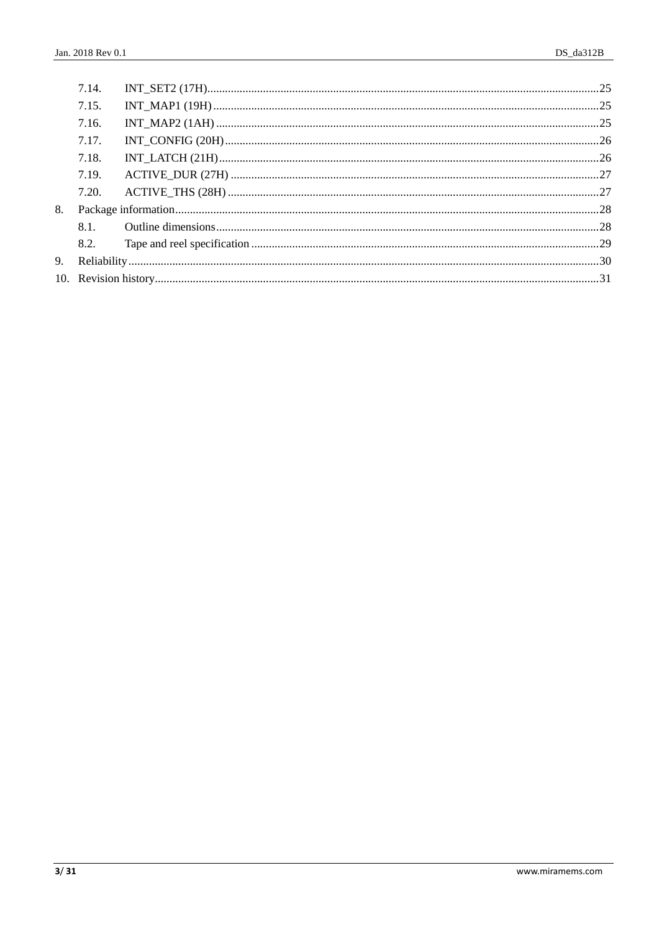|    | 7.14. |  |
|----|-------|--|
|    | 7.15. |  |
|    | 7.16. |  |
|    | 7.17. |  |
|    | 7.18. |  |
|    | 7.19. |  |
|    | 7.20. |  |
| 8. |       |  |
|    | 8.1.  |  |
|    | 8.2.  |  |
|    |       |  |
|    |       |  |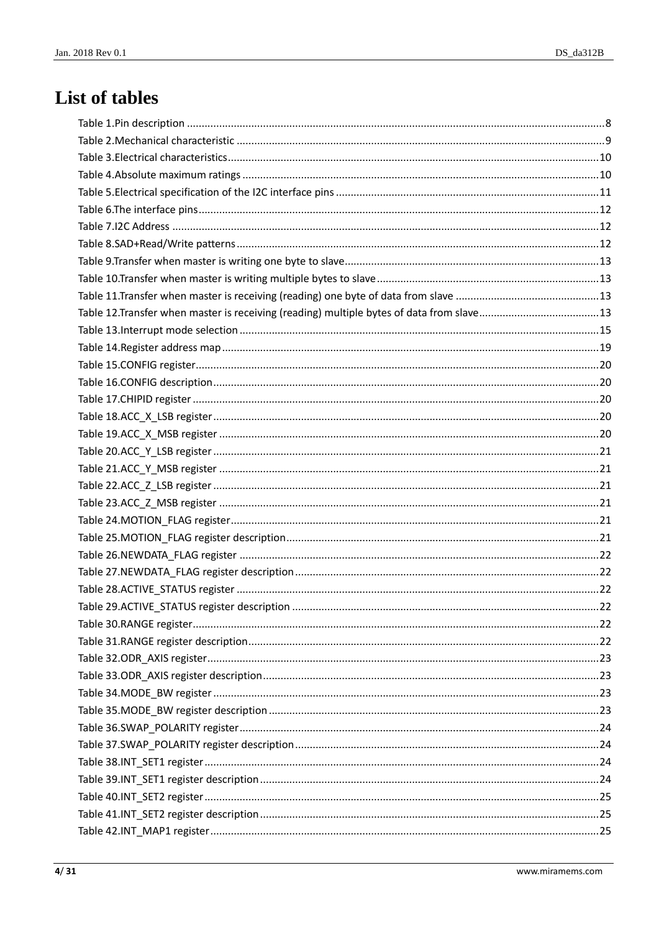## List of tables

| Table 12. Transfer when master is receiving (reading) multiple bytes of data from slave13 |  |
|-------------------------------------------------------------------------------------------|--|
|                                                                                           |  |
|                                                                                           |  |
|                                                                                           |  |
|                                                                                           |  |
|                                                                                           |  |
|                                                                                           |  |
|                                                                                           |  |
|                                                                                           |  |
|                                                                                           |  |
|                                                                                           |  |
|                                                                                           |  |
|                                                                                           |  |
|                                                                                           |  |
|                                                                                           |  |
|                                                                                           |  |
|                                                                                           |  |
|                                                                                           |  |
|                                                                                           |  |
|                                                                                           |  |
|                                                                                           |  |
|                                                                                           |  |
|                                                                                           |  |
|                                                                                           |  |
|                                                                                           |  |
|                                                                                           |  |
|                                                                                           |  |
|                                                                                           |  |
|                                                                                           |  |
|                                                                                           |  |
|                                                                                           |  |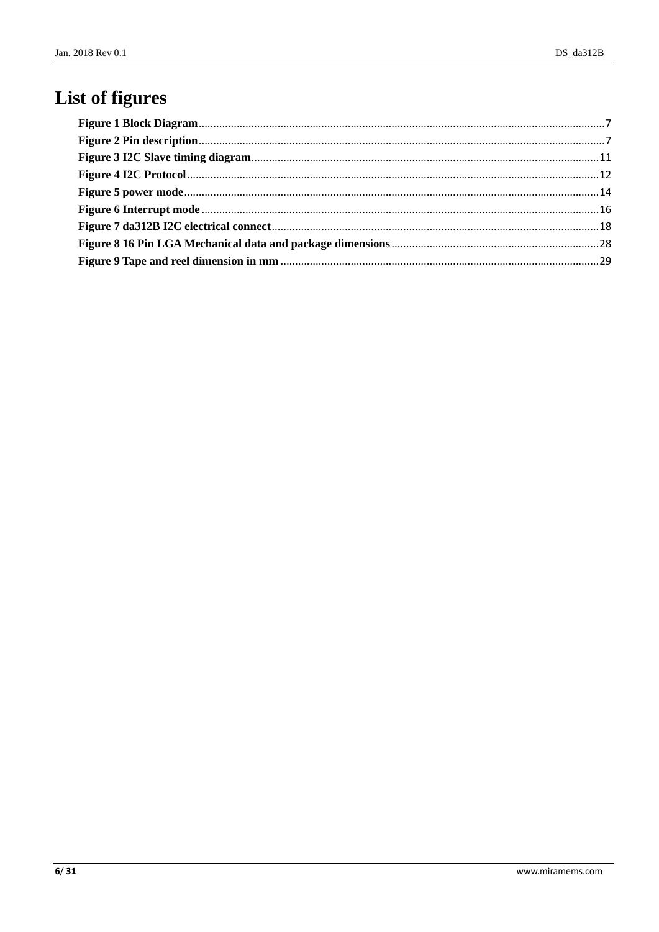# List of figures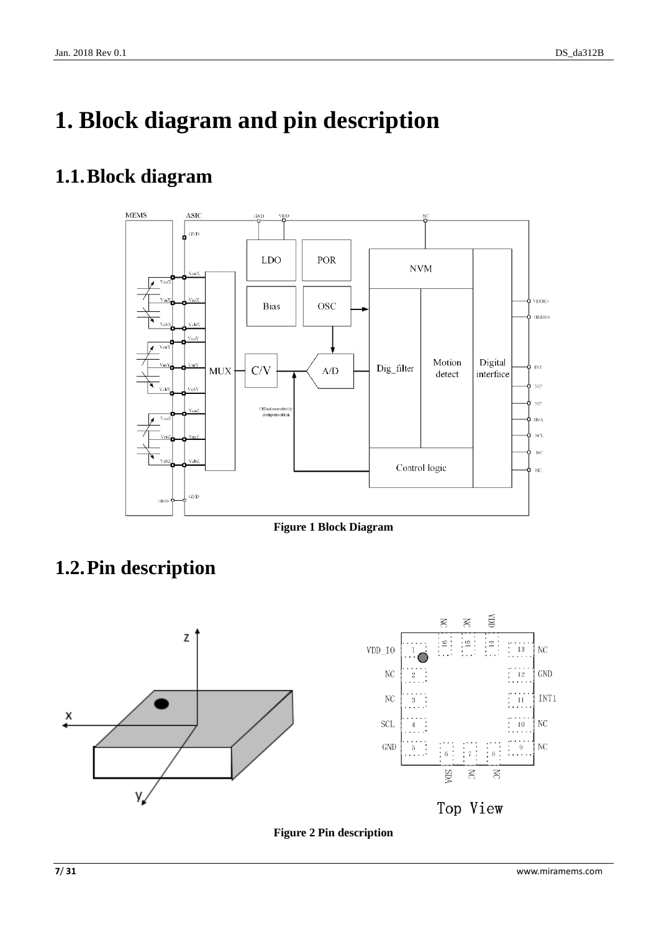# <span id="page-6-0"></span>**1. Block diagram and pin description**

## <span id="page-6-1"></span>**1.1.Block diagram**



**Figure 1 Block Diagram**

## <span id="page-6-3"></span><span id="page-6-2"></span>**1.2.Pin description**

<span id="page-6-4"></span>

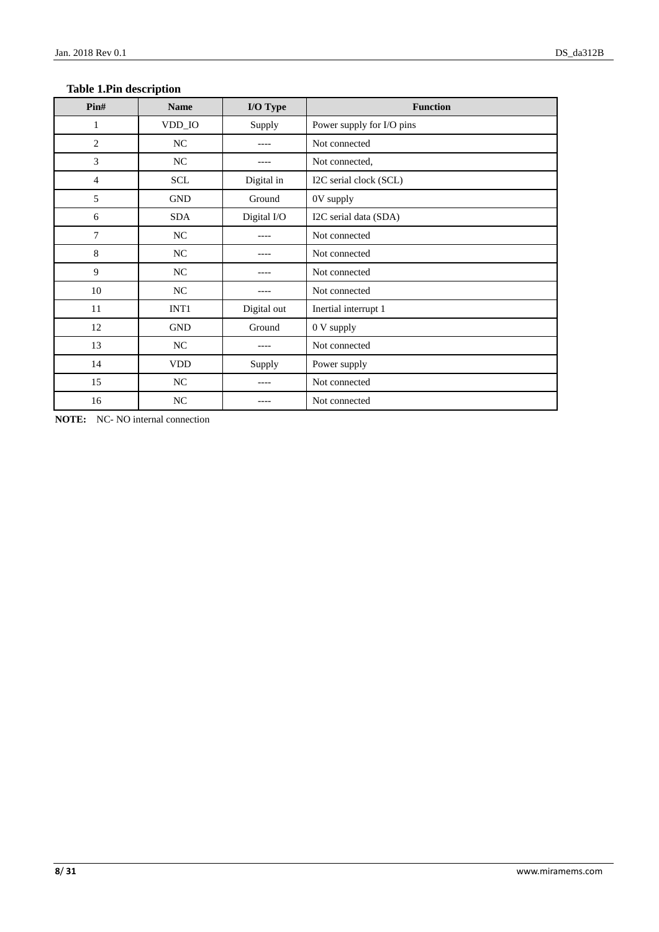| Pin#           | <b>Name</b> | I/O Type    | <b>Function</b>           |  |
|----------------|-------------|-------------|---------------------------|--|
| 1              | VDD_IO      | Supply      | Power supply for I/O pins |  |
| $\mathbf{2}$   | NC          |             | Not connected             |  |
| 3              | NC          |             | Not connected,            |  |
| $\overline{4}$ | SCL         | Digital in  | I2C serial clock (SCL)    |  |
| 5              | GND         | Ground      | 0V supply                 |  |
| 6              | <b>SDA</b>  | Digital I/O | I2C serial data (SDA)     |  |
| 7              | NC          |             | Not connected             |  |
| 8              | $\rm NC$    |             | Not connected             |  |
| 9              | $\rm NC$    | ----        | Not connected             |  |
| 10             | NC          |             | Not connected             |  |
| 11             | INT1        | Digital out | Inertial interrupt 1      |  |
| 12             | <b>GND</b>  | Ground      | 0 V supply                |  |
| 13             | NC          |             | Not connected             |  |
| 14             | <b>VDD</b>  | Supply      | Power supply              |  |
| 15             | $\rm NC$    |             | Not connected             |  |
| 16             | NC          |             | Not connected             |  |

#### <span id="page-7-0"></span>**Table 1.Pin description**

**NOTE:** NC- NO internal connection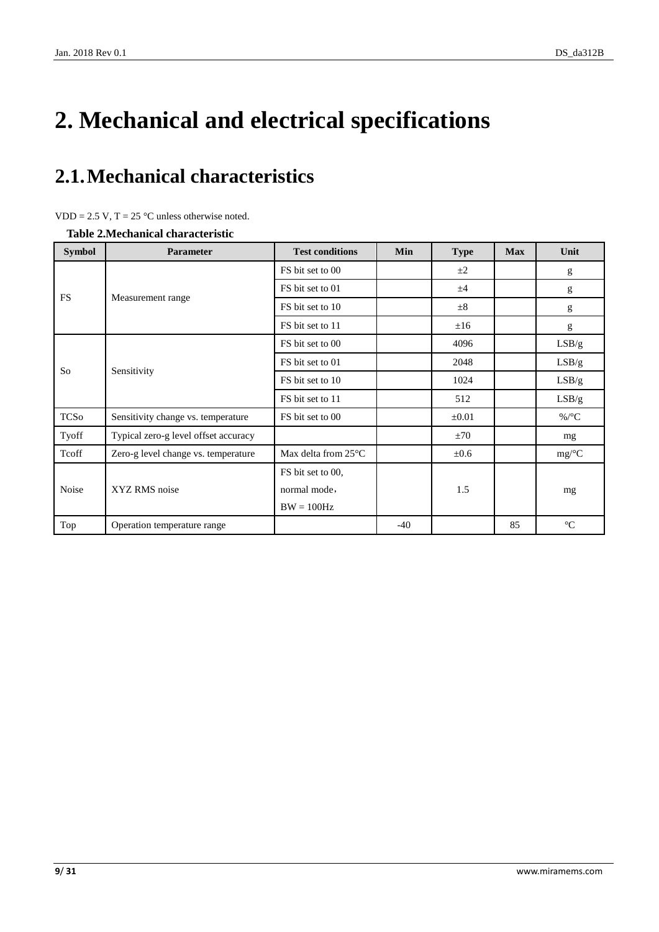# <span id="page-8-0"></span>**2. Mechanical and electrical specifications**

# <span id="page-8-1"></span>**2.1.Mechanical characteristics**

<span id="page-8-2"></span>**Table 2.Mechanical characteristic**

| <b>Symbol</b> | <b>Parameter</b>                     | <b>Test conditions</b>         | Min   | <b>Type</b> | <b>Max</b> | Unit             |
|---------------|--------------------------------------|--------------------------------|-------|-------------|------------|------------------|
|               | Measurement range                    | FS bit set to 00               |       | $\pm 2$     |            | g                |
|               |                                      | FS bit set to 01               |       | ±4          |            | g                |
| <b>FS</b>     |                                      | FS bit set to 10               |       | $\pm$ 8     |            | g                |
|               |                                      | FS bit set to 11               |       | ±16         |            | g                |
|               | Sensitivity                          | FS bit set to 00               |       | 4096        |            | LSB/g            |
|               |                                      | FS bit set to 01               |       | 2048        |            | LSB/g            |
| So            |                                      | FS bit set to 10               |       | 1024        |            | LSB/g            |
|               |                                      | FS bit set to 11               |       | 512         |            | LSB/g            |
| <b>TCSo</b>   | Sensitivity change vs. temperature   | FS bit set to 00               |       | ±0.01       |            | %/ $\mathcal{C}$ |
| Tyoff         | Typical zero-g level offset accuracy |                                |       | ±70         |            | mg               |
| Tcoff         | Zero-g level change vs. temperature  | Max delta from 25 $\mathbb{C}$ |       | $\pm 0.6$   |            | mg/C             |
|               | XYZ RMS noise                        | FS bit set to 00,              |       |             |            |                  |
| Noise         |                                      | normal mode,                   |       | 1.5         |            | mg               |
|               |                                      | $BW = 100 Hz$                  |       |             |            |                  |
| Top           | Operation temperature range          |                                | $-40$ |             | 85         | C                |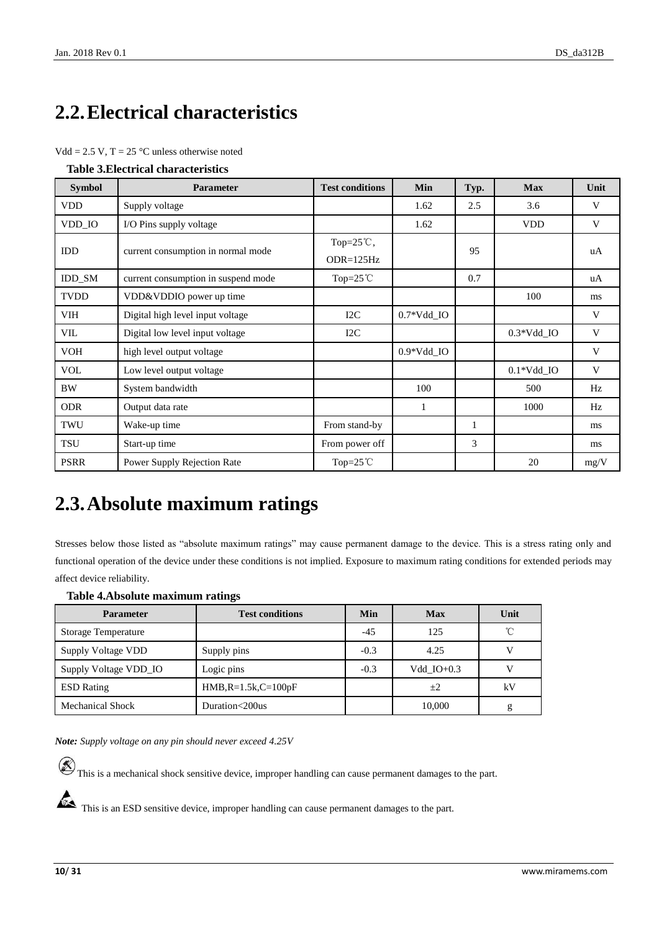## <span id="page-9-0"></span>**2.2.Electrical characteristics**

|  | $Vdd = 2.5 V$ , T = 25 °C unless otherwise noted |
|--|--------------------------------------------------|
|--|--------------------------------------------------|

<span id="page-9-2"></span>

| <b>Table 3. Electrical characteristics</b> |  |
|--------------------------------------------|--|
|--------------------------------------------|--|

| <b>Symbol</b> | <b>Parameter</b>                    | <b>Test conditions</b>              | Min                     | Typ. | <b>Max</b>              | Unit |
|---------------|-------------------------------------|-------------------------------------|-------------------------|------|-------------------------|------|
| <b>VDD</b>    | Supply voltage                      |                                     | 1.62                    | 2.5  | 3.6                     | V    |
| VDD_IO        | I/O Pins supply voltage             |                                     | 1.62                    |      | <b>VDD</b>              | V    |
| <b>IDD</b>    | current consumption in normal mode  | Top= $25^{\circ}$ C,<br>$ODR=125Hz$ |                         | 95   |                         | uA   |
| <b>IDD SM</b> | current consumption in suspend mode | Top= $25^{\circ}$ C                 |                         | 0.7  |                         | uA   |
| <b>TVDD</b>   | VDD&VDDIO power up time             |                                     |                         |      | 100                     | ms   |
| VIH           | Digital high level input voltage    | I2C                                 | $0.7*Vdd$ <sub>IO</sub> |      |                         | V    |
| VIL           | Digital low level input voltage     | I2C                                 |                         |      | $0.3*Vdd$ IO            | V    |
| <b>VOH</b>    | high level output voltage           |                                     | $0.9*Vdd$ IO            |      |                         | V    |
| <b>VOL</b>    | Low level output voltage            |                                     |                         |      | $0.1*Vdd$ <sub>IO</sub> | V    |
| <b>BW</b>     | System bandwidth                    |                                     | 100                     |      | 500                     | Hz   |
| <b>ODR</b>    | Output data rate                    |                                     | 1                       |      | 1000                    | Hz   |
| TWU           | Wake-up time                        | From stand-by                       |                         | 1    |                         | ms   |
| TSU           | Start-up time                       | From power off                      |                         | 3    |                         | ms   |
| <b>PSRR</b>   | Power Supply Rejection Rate         | Top= $25^{\circ}$ C                 |                         |      | 20                      | mg/V |

### <span id="page-9-1"></span>**2.3.Absolute maximum ratings**

Stresses below those listed as "absolute maximum ratings" may cause permanent damage to the device. This is a stress rating only and functional operation of the device under these conditions is not implied. Exposure to maximum rating conditions for extended periods may affect device reliability.

#### <span id="page-9-3"></span>**Table 4.Absolute maximum ratings**

| <b>Parameter</b>           | <b>Test conditions</b> | Min    | <b>Max</b>   | Unit         |
|----------------------------|------------------------|--------|--------------|--------------|
| <b>Storage Temperature</b> |                        | $-4.5$ | 125          | $^{\circ}$ C |
| Supply Voltage VDD         | Supply pins            | $-0.3$ | 4.25         | V            |
| Supply Voltage VDD_IO      | Logic pins             | $-0.3$ | Vdd $IO+0.3$ | v            |
| <b>ESD</b> Rating          | $HMB, R=1.5k, C=100pF$ |        | $+2$         | kV           |
| <b>Mechanical Shock</b>    | Duration<200us         |        | 10,000       | g            |

*Note: Supply voltage on any pin should never exceed 4.25V*

 $\circledR$  This is a mechanical shock sensitive device, improper handling can cause permanent damages to the part.

This is an ESD sensitive device, improper handling can cause permanent damages to the part.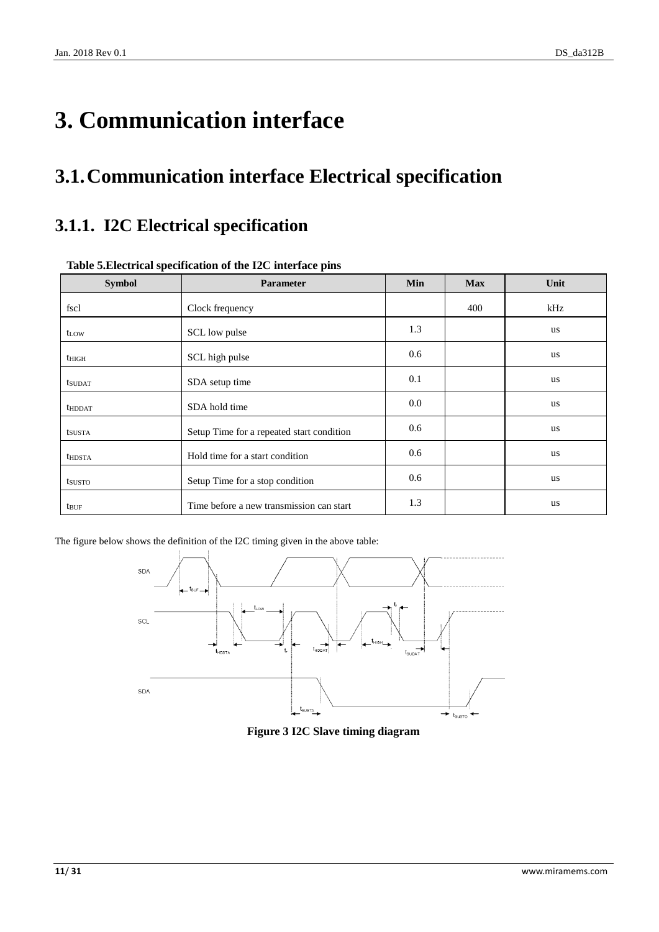# <span id="page-10-0"></span>**3. Communication interface**

## <span id="page-10-1"></span>**3.1.Communication interface Electrical specification**

### <span id="page-10-2"></span>**3.1.1. I2C Electrical specification**

| <b>Symbol</b>    | Parameter                                 | Min | <b>Max</b> | Unit      |
|------------------|-------------------------------------------|-----|------------|-----------|
| fscl             | Clock frequency                           |     | 400        | kHz       |
| t <sub>LOW</sub> | SCL low pulse                             | 1.3 |            | us        |
| $t_{\rm HIGH}$   | SCL high pulse                            | 0.6 |            | us        |
| <b>t</b> sudat   | SDA setup time                            | 0.1 |            | us        |
| <b>thddat</b>    | SDA hold time                             | 0.0 |            | us        |
| tsusta           | Setup Time for a repeated start condition | 0.6 |            | us        |
| <b>thdsta</b>    | Hold time for a start condition           | 0.6 |            | <b>us</b> |
| tsusto           | Setup Time for a stop condition           | 0.6 |            | us        |
| tbuf             | Time before a new transmission can start  | 1.3 |            | us        |

#### <span id="page-10-3"></span>**Table 5.Electrical specification of the I2C interface pins**

<span id="page-10-4"></span>The figure below shows the definition of the I2C timing given in the above table:



**Figure 3 I2C Slave timing diagram**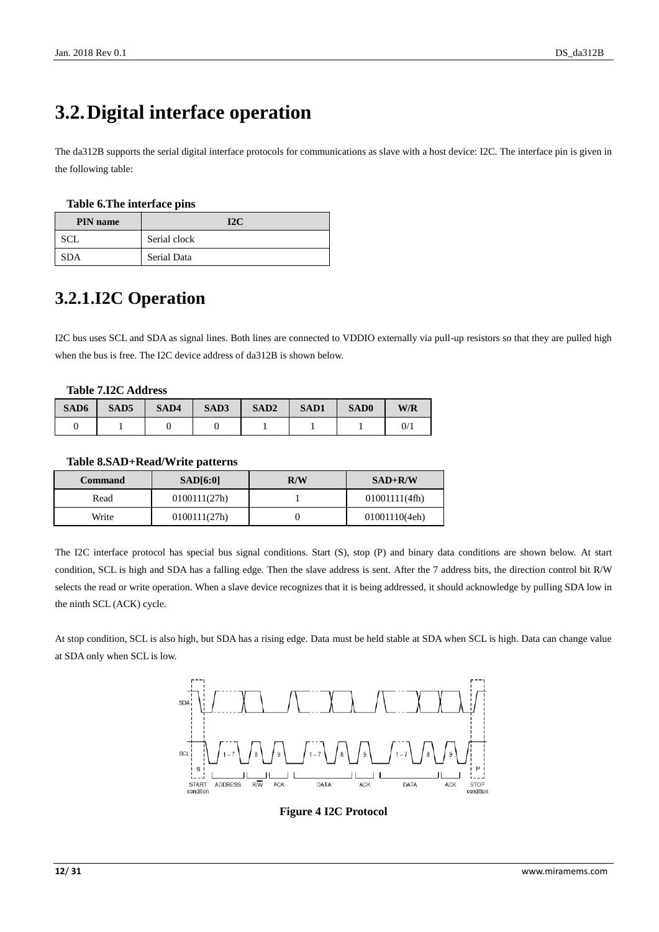## <span id="page-11-0"></span>**3.2.Digital interface operation**

The da312B supports the serial digital interface protocols for communications as slave with a host device: I2C. The interface pin is given in the following table:

#### <span id="page-11-2"></span>**Table 6.The interface pins**

| <b>PIN</b> name | 12 <sub>C</sub> |
|-----------------|-----------------|
| SCL.            | Serial clock    |
| <b>SDA</b>      | Serial Data     |

### <span id="page-11-1"></span>**3.2.1.I2C Operation**

I2C bus uses SCL and SDA as signal lines. Both lines are connected to VDDIO externally via pull-up resistors so that they are pulled high when the bus is free. The I2C device address of da312B is shown below.

#### <span id="page-11-3"></span>**Table 7.I2C Address**

| SAD6 | SAD <sub>5</sub> | SAD4 | SAD3 | SAD <sub>2</sub> | <b>SAD1</b> | SAD <sub>0</sub> | W/R |
|------|------------------|------|------|------------------|-------------|------------------|-----|
|      |                  |      |      |                  |             |                  | 0/  |

#### <span id="page-11-4"></span>**Table 8.SAD+Read/Write patterns**

| Command | SAD[6:0]     | R/W | $SAD+R/W$     |  |
|---------|--------------|-----|---------------|--|
| Read    | 0100111(27h) |     | 01001111(4fh) |  |
| Write   | 0100111(27h) |     | 01001110(4eh) |  |

The I2C interface protocol has special bus signal conditions. Start (S), stop (P) and binary data conditions are shown below. At start condition, SCL is high and SDA has a falling edge. Then the slave address is sent. After the 7 address bits, the direction control bit R/W selects the read or write operation. When a slave device recognizes that it is being addressed, it should acknowledge by pulling SDA low in the ninth SCL (ACK) cycle.

<span id="page-11-5"></span>At stop condition, SCL is also high, but SDA has a rising edge. Data must be held stable at SDA when SCL is high. Data can change value at SDA only when SCL is low.



**Figure 4 I2C Protocol**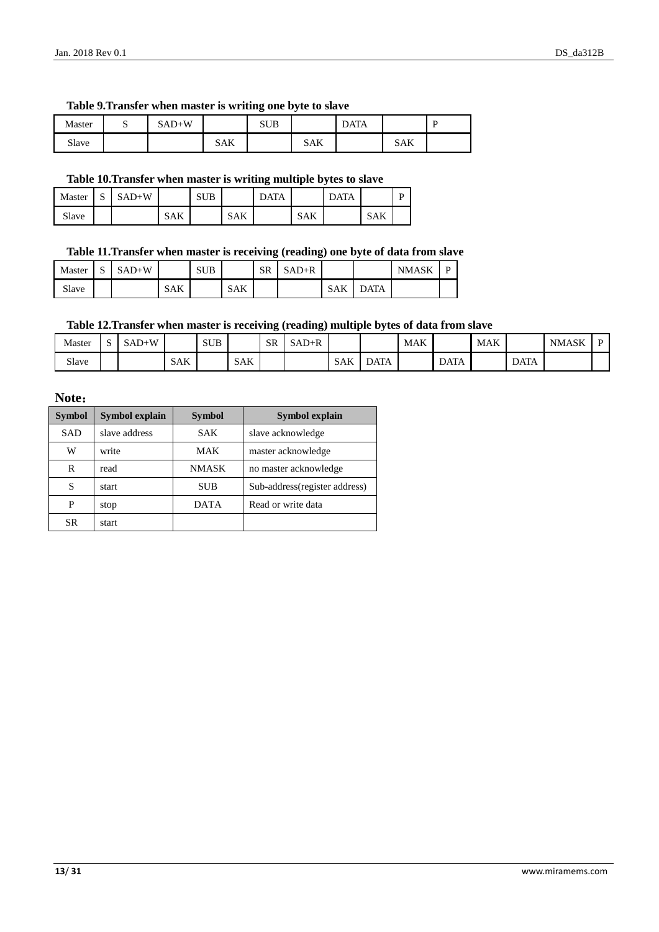#### <span id="page-12-0"></span>**Table 9.Transfer when master is writing one byte to slave**

| Master | ັ | $SAD+W$ |     | <b>SUB</b> |            | DATA |            | D |
|--------|---|---------|-----|------------|------------|------|------------|---|
| Slave  |   |         | SAK |            | <b>SAK</b> |      | <b>SAK</b> |   |

#### <span id="page-12-1"></span>**Table 10.Transfer when master is writing multiple bytes to slave**

| Master | C<br>ມ | $SAD+W$ |            | <b>SUB</b> |            | <b>DATA</b> |            | <b>DATA</b> |     | D |
|--------|--------|---------|------------|------------|------------|-------------|------------|-------------|-----|---|
| Slave  |        |         | <b>SAK</b> |            | <b>SAK</b> |             | <b>SAK</b> |             | SAK |   |

#### <span id="page-12-2"></span>**Table 11.Transfer when master is receiving (reading) one byte of data from slave**

| Master | $\sim$<br>د، | $SAD+W$ |     | <b>SUB</b> |            | <b>SR</b> | $SAD+R$ |            |             | <b>NMASK</b> | D |
|--------|--------------|---------|-----|------------|------------|-----------|---------|------------|-------------|--------------|---|
| Slave  |              |         | SAK |            | <b>SAK</b> |           |         | <b>SAK</b> | <b>DATA</b> |              |   |

#### <span id="page-12-3"></span>**Table 12.Transfer when master is receiving (reading) multiple bytes of data from slave**

| Master | - | -W<br>'-AD |            | <b>SUB</b> |            | SR | $SAD+R$ |            |             | <b>MAK</b> |             | MAK |             | <b>NMASK</b> |  |
|--------|---|------------|------------|------------|------------|----|---------|------------|-------------|------------|-------------|-----|-------------|--------------|--|
| Slave  |   |            | <b>SAK</b> |            | <b>SAK</b> |    |         | <b>SAK</b> | <b>DATA</b> |            | <b>DATA</b> |     | <b>DATA</b> |              |  |

#### **Note**:

| <b>Symbol</b> | <b>Symbol explain</b> | <b>Symbol</b> | Symbol explain                 |
|---------------|-----------------------|---------------|--------------------------------|
| <b>SAD</b>    | slave address         | <b>SAK</b>    | slave acknowledge              |
| W             | write                 | MAK           | master acknowledge             |
| R             | read                  | <b>NMASK</b>  | no master acknowledge          |
| S             | start                 | <b>SUB</b>    | Sub-address (register address) |
| P             | stop                  | <b>DATA</b>   | Read or write data             |
| SR.           | start                 |               |                                |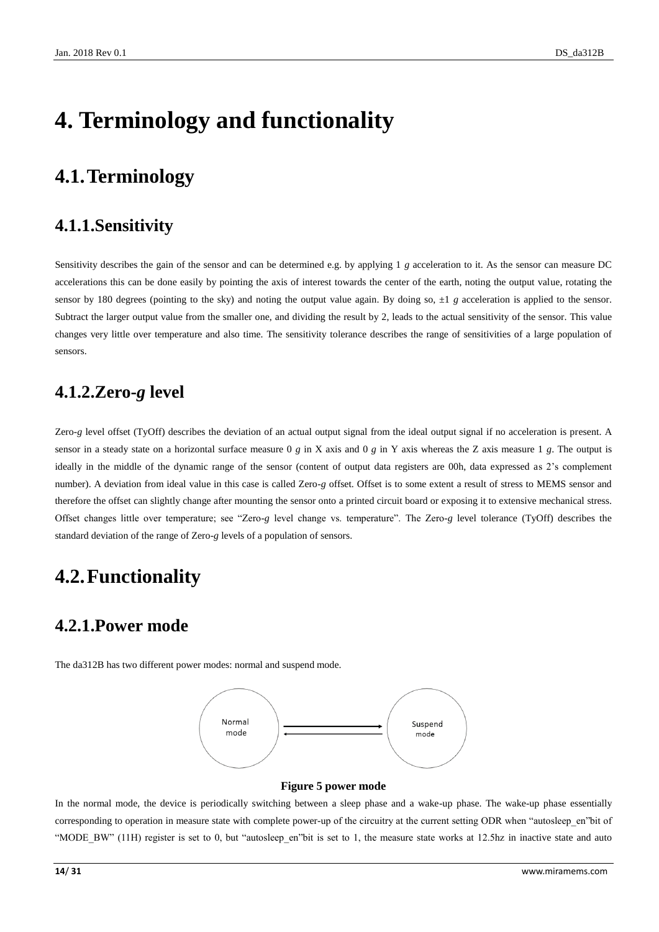# <span id="page-13-0"></span>**4. Terminology and functionality**

### <span id="page-13-1"></span>**4.1.Terminology**

### <span id="page-13-2"></span>**4.1.1.Sensitivity**

Sensitivity describes the gain of the sensor and can be determined e.g. by applying 1 *g* acceleration to it. As the sensor can measure DC accelerations this can be done easily by pointing the axis of interest towards the center of the earth, noting the output value, rotating the sensor by 180 degrees (pointing to the sky) and noting the output value again. By doing so,  $\pm 1$  *g* acceleration is applied to the sensor. Subtract the larger output value from the smaller one, and dividing the result by 2, leads to the actual sensitivity of the sensor. This value changes very little over temperature and also time. The sensitivity tolerance describes the range of sensitivities of a large population of sensors.

### <span id="page-13-3"></span>**4.1.2.Zero-***g* **level**

Zero-*g* level offset (TyOff) describes the deviation of an actual output signal from the ideal output signal if no acceleration is present. A sensor in a steady state on a horizontal surface measure 0 *g* in X axis and 0 *g* in Y axis whereas the Z axis measure 1 *g*. The output is ideally in the middle of the dynamic range of the sensor (content of output data registers are 00h, data expressed as 2's complement number). A deviation from ideal value in this case is called Zero-*g* offset. Offset is to some extent a result of stress to MEMS sensor and therefore the offset can slightly change after mounting the sensor onto a printed circuit board or exposing it to extensive mechanical stress. Offset changes little over temperature; see "Zero-*g* level change vs. temperature". The Zero-*g* level tolerance (TyOff) describes the standard deviation of the range of Zero-*g* levels of a population of sensors.

### <span id="page-13-4"></span>**4.2.Functionality**

### <span id="page-13-5"></span>**4.2.1.Power mode**

The da312B has two different power modes: normal and suspend mode.



#### **Figure 5 power mode**

<span id="page-13-6"></span>In the normal mode, the device is periodically switching between a sleep phase and a wake-up phase. The wake-up phase essentially corresponding to operation in measure state with complete power-up of the circuitry at the current setting ODR when "autosleep\_en"bit of "MODE\_BW" (11H) register is set to 0, but "autosleep\_en"bit is set to 1, the measure state works at 12.5hz in inactive state and auto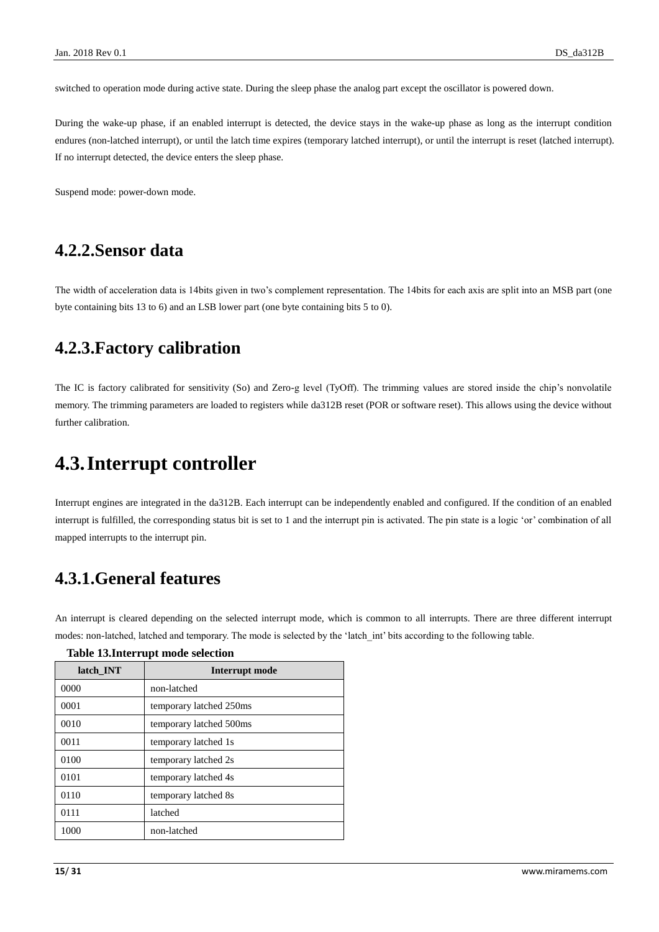switched to operation mode during active state. During the sleep phase the analog part except the oscillator is powered down.

During the wake-up phase, if an enabled interrupt is detected, the device stays in the wake-up phase as long as the interrupt condition endures (non-latched interrupt), or until the latch time expires (temporary latched interrupt), or until the interrupt is reset (latched interrupt). If no interrupt detected, the device enters the sleep phase.

Suspend mode: power-down mode.

### <span id="page-14-0"></span>**4.2.2.Sensor data**

The width of acceleration data is 14bits given in two's complement representation. The 14bits for each axis are split into an MSB part (one byte containing bits 13 to 6) and an LSB lower part (one byte containing bits 5 to 0).

### <span id="page-14-1"></span>**4.2.3.Factory calibration**

The IC is factory calibrated for sensitivity (So) and Zero-g level (TyOff). The trimming values are stored inside the chip's nonvolatile memory. The trimming parameters are loaded to registers while da312B reset (POR or software reset). This allows using the device without further calibration.

### <span id="page-14-2"></span>**4.3.Interrupt controller**

Interrupt engines are integrated in the da312B. Each interrupt can be independently enabled and configured. If the condition of an enabled interrupt is fulfilled, the corresponding status bit is set to 1 and the interrupt pin is activated. The pin state is a logic 'or' combination of all mapped interrupts to the interrupt pin.

### <span id="page-14-3"></span>**4.3.1.General features**

An interrupt is cleared depending on the selected interrupt mode, which is common to all interrupts. There are three different interrupt modes: non-latched, latched and temporary. The mode is selected by the 'latch\_int' bits according to the following table.

| latch INT | Interrupt mode          |
|-----------|-------------------------|
| 0000      | non-latched             |
| 0001      | temporary latched 250ms |
| 0010      | temporary latched 500ms |
| 0011      | temporary latched 1s    |
| 0100      | temporary latched 2s    |
| 0101      | temporary latched 4s    |
| 0110      | temporary latched 8s    |
| 0111      | latched                 |
| 1000      | non-latched             |

#### <span id="page-14-4"></span>**Table 13.Interrupt mode selection**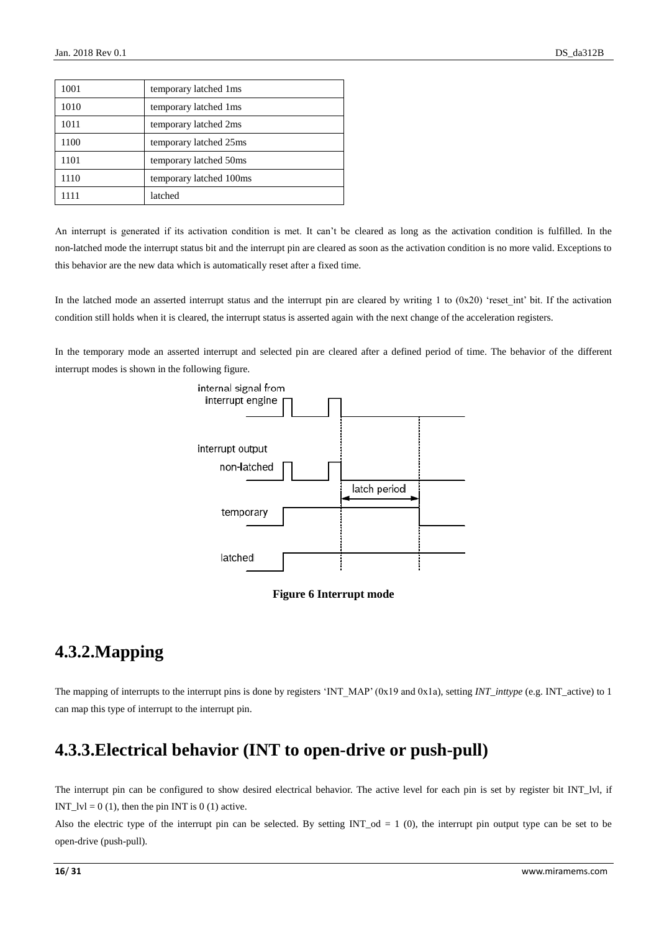| 1001 | temporary latched 1ms   |
|------|-------------------------|
| 1010 | temporary latched 1ms   |
| 1011 | temporary latched 2ms   |
| 1100 | temporary latched 25ms  |
| 1101 | temporary latched 50ms  |
| 1110 | temporary latched 100ms |
| 1111 | latched                 |

An interrupt is generated if its activation condition is met. It can't be cleared as long as the activation condition is fulfilled. In the non-latched mode the interrupt status bit and the interrupt pin are cleared as soon as the activation condition is no more valid. Exceptions to this behavior are the new data which is automatically reset after a fixed time.

In the latched mode an asserted interrupt status and the interrupt pin are cleared by writing 1 to  $(0x20)$  'reset int' bit. If the activation condition still holds when it is cleared, the interrupt status is asserted again with the next change of the acceleration registers.

In the temporary mode an asserted interrupt and selected pin are cleared after a defined period of time. The behavior of the different interrupt modes is shown in the following figure.





### <span id="page-15-2"></span><span id="page-15-0"></span>**4.3.2.Mapping**

The mapping of interrupts to the interrupt pins is done by registers 'INT\_MAP' (0x19 and 0x1a), setting *INT\_inttype* (e.g. INT\_active) to 1 can map this type of interrupt to the interrupt pin.

### <span id="page-15-1"></span>**4.3.3.Electrical behavior (INT to open-drive or push-pull)**

The interrupt pin can be configured to show desired electrical behavior. The active level for each pin is set by register bit INT\_lvl, if INT  $|V| = 0 (1)$ , then the pin INT is 0 (1) active.

Also the electric type of the interrupt pin can be selected. By setting  $INT\_od = 1$  (0), the interrupt pin output type can be set to be open-drive (push-pull).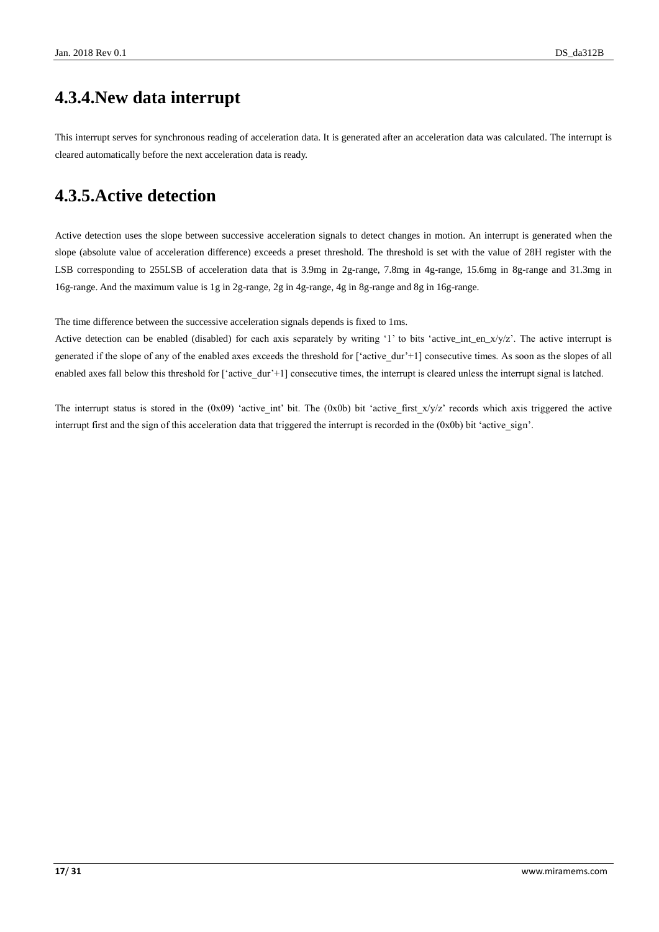### <span id="page-16-0"></span>**4.3.4.New data interrupt**

This interrupt serves for synchronous reading of acceleration data. It is generated after an acceleration data was calculated. The interrupt is cleared automatically before the next acceleration data is ready.

### <span id="page-16-1"></span>**4.3.5.Active detection**

Active detection uses the slope between successive acceleration signals to detect changes in motion. An interrupt is generated when the slope (absolute value of acceleration difference) exceeds a preset threshold. The threshold is set with the value of 28H register with the LSB corresponding to 255LSB of acceleration data that is 3.9mg in 2g-range, 7.8mg in 4g-range, 15.6mg in 8g-range and 31.3mg in 16g-range. And the maximum value is 1g in 2g-range, 2g in 4g-range, 4g in 8g-range and 8g in 16g-range.

The time difference between the successive acceleration signals depends is fixed to 1ms.

Active detection can be enabled (disabled) for each axis separately by writing '1' to bits 'active\_int\_en\_x/y/z'. The active interrupt is generated if the slope of any of the enabled axes exceeds the threshold for ['active\_dur'+1] consecutive times. As soon as the slopes of all enabled axes fall below this threshold for ['active\_dur'+1] consecutive times, the interrupt is cleared unless the interrupt signal is latched.

The interrupt status is stored in the  $(0x09)$  'active int' bit. The  $(0x0b)$  bit 'active first  $x/y/z$ ' records which axis triggered the active interrupt first and the sign of this acceleration data that triggered the interrupt is recorded in the  $(0x0b)$  bit 'active sign'.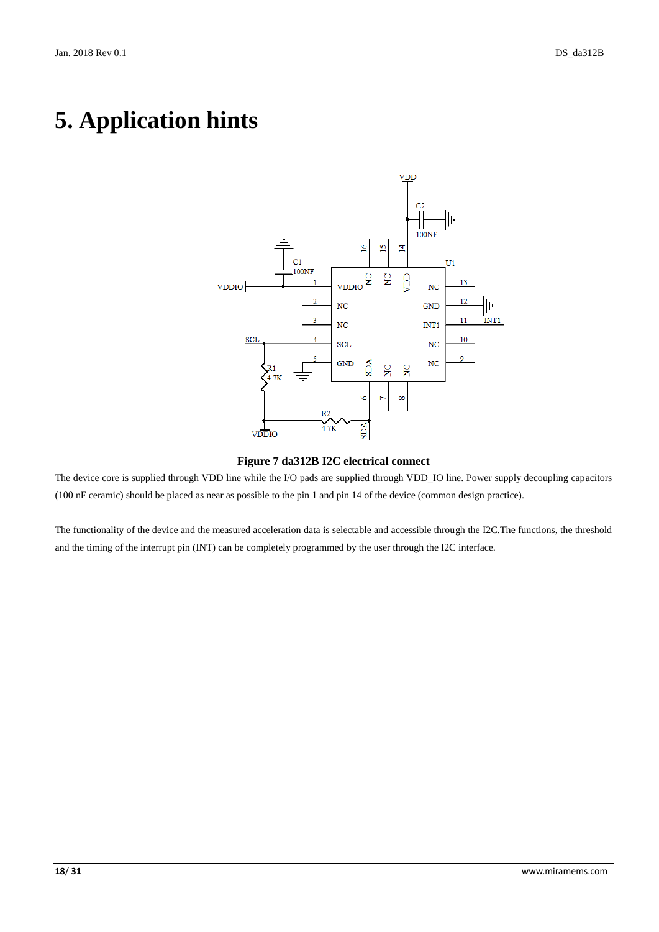# <span id="page-17-0"></span>**5. Application hints**



#### **Figure 7 da312B I2C electrical connect**

<span id="page-17-1"></span>The device core is supplied through VDD line while the I/O pads are supplied through VDD\_IO line. Power supply decoupling capacitors (100 nF ceramic) should be placed as near as possible to the pin 1 and pin 14 of the device (common design practice).

The functionality of the device and the measured acceleration data is selectable and accessible through the I2C.The functions, the threshold and the timing of the interrupt pin (INT) can be completely programmed by the user through the I2C interface.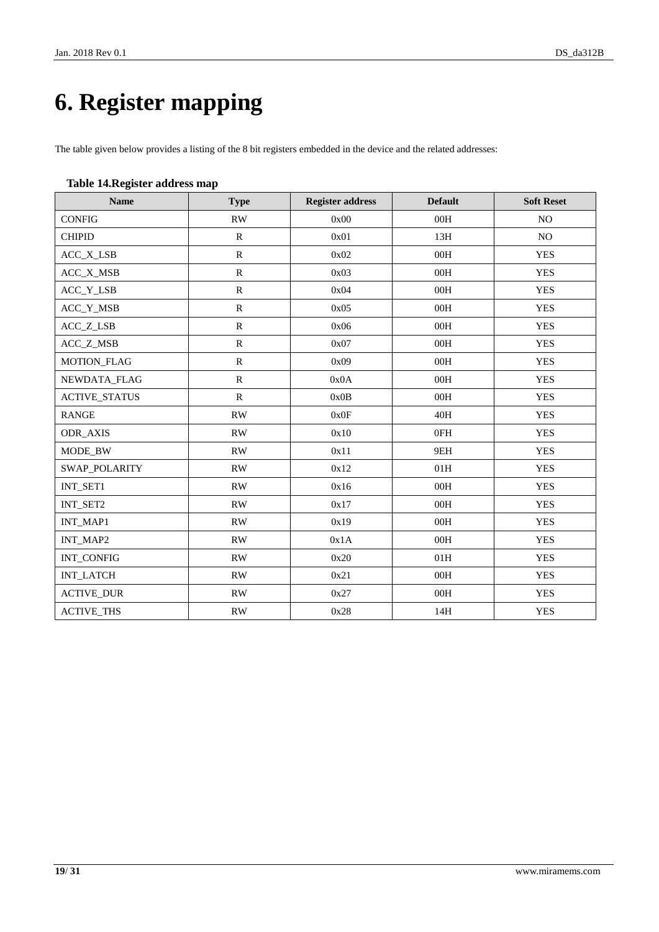# <span id="page-18-0"></span>**6. Register mapping**

The table given below provides a listing of the 8 bit registers embedded in the device and the related addresses:

#### <span id="page-18-1"></span>**Table 14.Register address map**

| <b>Name</b>          | <b>Type</b>            | <b>Register address</b> | <b>Default</b> | <b>Soft Reset</b> |
|----------------------|------------------------|-------------------------|----------------|-------------------|
| <b>CONFIG</b>        | RW                     | 0x00                    | 00H            | N <sub>O</sub>    |
| <b>CHIPID</b>        | ${\bf R}$              | 0x01                    | 13H            | NO.               |
| ACC_X_LSB            | $\mathbb{R}$           | 0x02                    | 00H            | <b>YES</b>        |
| ACC_X_MSB            | ${\bf R}$              | 0x03                    | 00H            | <b>YES</b>        |
| ACC_Y_LSB            | ${\bf R}$              | 0x04                    | 00H            | <b>YES</b>        |
| ACC_Y_MSB            | ${\bf R}$              | 0x05                    | 00H            | <b>YES</b>        |
| ACC_Z_LSB            | ${\bf R}$              | 0x06                    | 00H            | <b>YES</b>        |
| ACC_Z_MSB            | $\mathbb{R}$           | 0x07                    | 00H            | <b>YES</b>        |
| MOTION_FLAG          | ${\bf R}$              | 0x09                    | 00H            | <b>YES</b>        |
| NEWDATA_FLAG         | ${\bf R}$              | 0x0A                    | 00H            | <b>YES</b>        |
| <b>ACTIVE_STATUS</b> | ${\bf R}$              | 0x0B                    | 00H            | <b>YES</b>        |
| <b>RANGE</b>         | RW                     | 0x0F                    | 40H            | <b>YES</b>        |
| <b>ODR_AXIS</b>      | RW                     | 0x10                    | 0FH            | <b>YES</b>        |
| MODE_BW              | RW                     | 0x11                    | 9EH            | <b>YES</b>        |
| <b>SWAP_POLARITY</b> | <b>RW</b>              | 0x12                    | 01H            | <b>YES</b>        |
| INT_SET1             | $\mathbf{R}\mathbf{W}$ | 0x16                    | 00H            | <b>YES</b>        |
| INT_SET2             | RW                     | 0x17                    | 00H            | <b>YES</b>        |
| INT_MAP1             | RW                     | 0x19                    | 00H            | <b>YES</b>        |
| INT_MAP2             | RW                     | 0x1A                    | 00H            | <b>YES</b>        |
| INT_CONFIG           | $\mathbf{R}\mathbf{W}$ | 0x20                    | 01H            | <b>YES</b>        |
| <b>INT_LATCH</b>     | RW                     | 0x21                    | 00H            | <b>YES</b>        |
| <b>ACTIVE_DUR</b>    | RW                     | 0x27                    | $00H$          | <b>YES</b>        |
| <b>ACTIVE_THS</b>    | RW                     | 0x28                    | 14H            | <b>YES</b>        |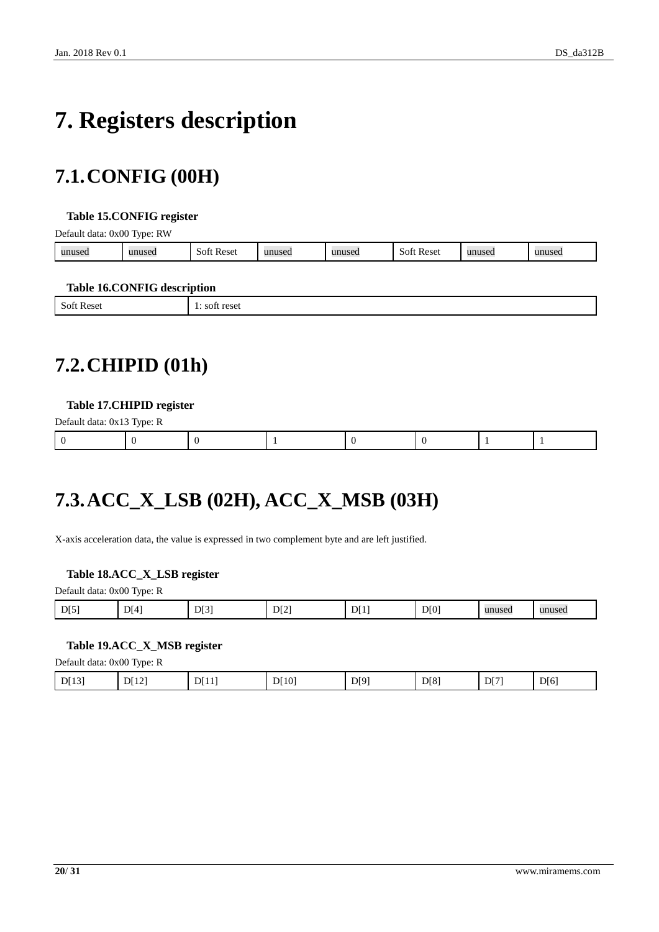# <span id="page-19-0"></span>**7. Registers description**

## <span id="page-19-1"></span>**7.1.CONFIG (00H)**

#### <span id="page-19-4"></span>**Table 15.CONFIG register**

Default data: 0x00 Type: RW

| unused | 1111100c<br>usec | Reset<br>-SOF | $\mathbf{u}\mathbf{n}\mathbf{u}\mathbf{c}\mathbf{a}$<br>пизеп | unused | Reset<br>SOT | าusec |  |
|--------|------------------|---------------|---------------------------------------------------------------|--------|--------------|-------|--|
|        |                  |               |                                                               |        |              |       |  |

#### <span id="page-19-5"></span>**Table 16.CONFIG description**

|--|

## <span id="page-19-2"></span>**7.2.CHIPID (01h)**

#### <span id="page-19-6"></span>**Table 17.CHIPID register**

| Default data: 0x13 Type: R |  |  |  |  |
|----------------------------|--|--|--|--|
|                            |  |  |  |  |

## <span id="page-19-3"></span>**7.3.ACC\_X\_LSB (02H), ACC\_X\_MSB (03H)**

X-axis acceleration data, the value is expressed in two complement byte and are left justified.

#### <span id="page-19-7"></span>**Table 18.ACC\_X\_LSB register**

| Default data: 0x00 Type: R |  |  |
|----------------------------|--|--|
|                            |  |  |

| DI5<br>$\cdot$ D <sub><math>\Gamma</math></sub><br>$1 \text{D}^{2}$<br>DI2<br>∋Г⊿.<br>unused<br>◡<br>שו<br>. .<br>ັ<br>-<br>- | 3.3.40.<br>$\cdots$<br> |
|-------------------------------------------------------------------------------------------------------------------------------|-------------------------|
|-------------------------------------------------------------------------------------------------------------------------------|-------------------------|

#### <span id="page-19-8"></span>**Table 19.ACC\_X\_MSB register**

Default data: 0x00 Type: R

| D[8]<br>D[12]<br>DI9'<br>D[6]<br>[10]<br>D[7]<br>DI131<br>DT11<br>$\mathbf{\bar{}}$<br>1 J J<br>◡<br>.<br>- |
|-------------------------------------------------------------------------------------------------------------|
|-------------------------------------------------------------------------------------------------------------|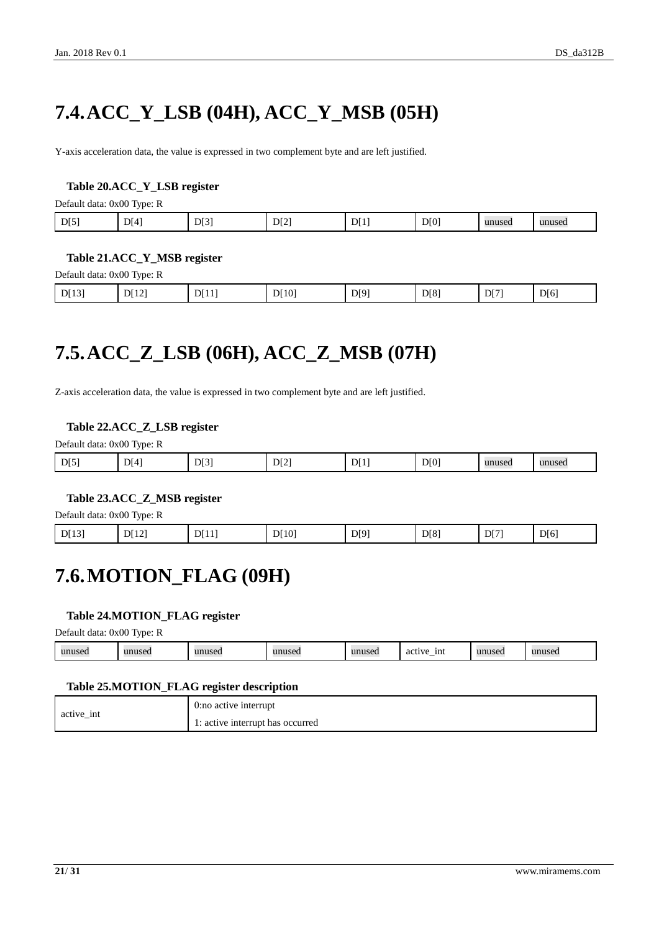# <span id="page-20-0"></span>**7.4.ACC\_Y\_LSB (04H), ACC\_Y\_MSB (05H)**

Y-axis acceleration data, the value is expressed in two complement byte and are left justified.

#### <span id="page-20-3"></span>**Table 20.ACC\_Y\_LSB register**

Default data: 0x00 Type: R

| D[0]<br>D[4]<br>D[3]<br>D[5]<br>$\perp$ D[ <sup>1</sup> ]<br>D[2]<br>unused<br>unuseo |
|---------------------------------------------------------------------------------------|
|---------------------------------------------------------------------------------------|

#### <span id="page-20-4"></span>**Table 21.ACC\_Y\_MSB register**

Default data: 0x00 Type: R

| D[8]<br>D[12]<br>D[10]<br>D[13]<br>D[11]<br>D[9]<br>D[6]<br>D[7]<br>$\mathbf{L}$<br>. |
|---------------------------------------------------------------------------------------|
|---------------------------------------------------------------------------------------|

## <span id="page-20-1"></span>**7.5.ACC\_Z\_LSB (06H), ACC\_Z\_MSB (07H)**

Z-axis acceleration data, the value is expressed in two complement byte and are left justified.

#### <span id="page-20-5"></span>**Table 22.ACC\_Z\_LSB register**

Default data: 0x00 Type: R

| D[5] | D[4] | D[3]<br>. . | DI2 | וט. | D[0] | unused | unused |
|------|------|-------------|-----|-----|------|--------|--------|
|      |      |             |     |     |      |        |        |

#### <span id="page-20-6"></span>**Table 23.ACC\_Z\_MSB register**

Default data: 0x00 Type: R

<span id="page-20-2"></span>

| D[8]<br>D[6]<br>D[9]<br>D[13]<br>DI12'<br>D[10]<br>D[7]<br>DT11 |  |  |  |  |  |  |  |  |
|-----------------------------------------------------------------|--|--|--|--|--|--|--|--|
|-----------------------------------------------------------------|--|--|--|--|--|--|--|--|

### **7.6.MOTION\_FLAG (09H)**

#### <span id="page-20-7"></span>**Table 24.MOTION\_FLAG register**

Default data: 0x00 Type: R

| -1nt<br>$\cdots$<br>unused<br>unused<br>$\cdots$<br>unused<br>unuseo.<br>activ<br>145C.<br>$\sim$<br>$\sim$<br>$\cdots$ |
|-------------------------------------------------------------------------------------------------------------------------|
|-------------------------------------------------------------------------------------------------------------------------|

#### <span id="page-20-8"></span>**Table 25.MOTION\_FLAG register description**

| active int | 0:no active interrupt            |
|------------|----------------------------------|
|            | 1: active interrupt has occurred |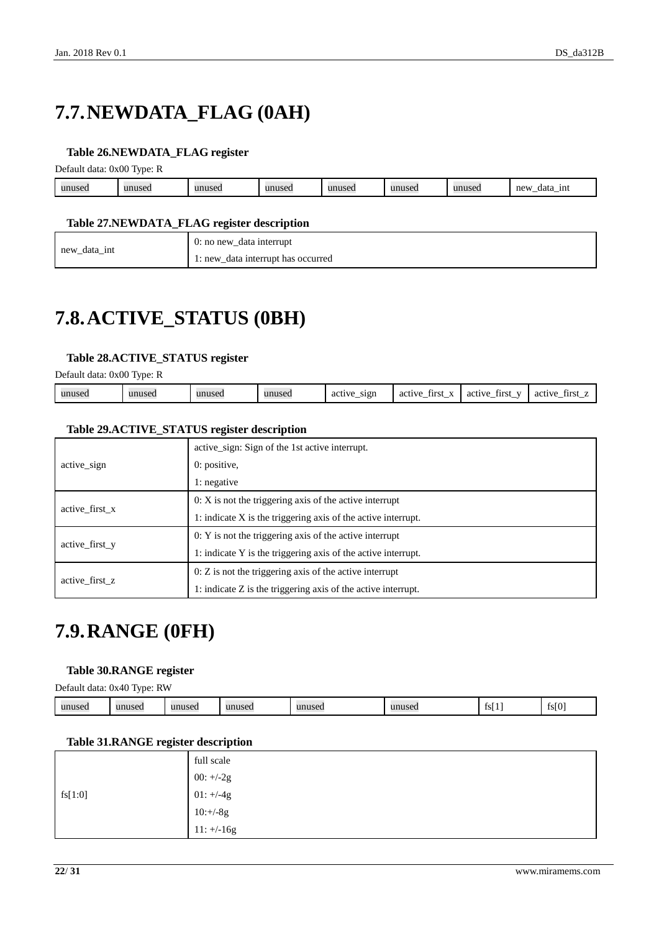# <span id="page-21-0"></span>**7.7.NEWDATA\_FLAG (0AH)**

#### <span id="page-21-3"></span>**Table 26.NEWDATA\_FLAG register**

Default data: 0x00 Type: R

| unused | $\mathbf{u}$<br>useu | 1011000<br>14560 | unusea | unused | unused | 1111100<br>unuset. | new<br>1nt<br>data<br><u>_</u> |
|--------|----------------------|------------------|--------|--------|--------|--------------------|--------------------------------|
|        |                      |                  |        |        |        |                    |                                |

#### <span id="page-21-4"></span>**Table 27.NEWDATA\_FLAG register description**

|              | 0: no new_data interrupt    |
|--------------|-----------------------------|
| new_data_int | data interrupt has occurred |
| —            | $\iota$ : new               |

## <span id="page-21-1"></span>**7.8.ACTIVE\_STATUS (0BH)**

#### <span id="page-21-5"></span>**Table 28.ACTIVE\_STATUS register**

Default data: 0x00 Type: R

| sign<br>unusec<br>$\mathbf{v}$<br>t 1 mei<br>unused<br>unused<br>active<br>first.<br>active<br>active<br>first<br>active<br>11 n 11<br>auseo<br>aci<br>1110.<br>--<br>$\overline{\phantom{a}}$<br>-- |
|------------------------------------------------------------------------------------------------------------------------------------------------------------------------------------------------------|
|------------------------------------------------------------------------------------------------------------------------------------------------------------------------------------------------------|

#### <span id="page-21-6"></span>**Table 29.ACTIVE\_STATUS register description**

|                | active sign: Sign of the 1st active interrupt.                  |
|----------------|-----------------------------------------------------------------|
| active sign    | $0:$ positive,                                                  |
|                | 1: negative                                                     |
| active first x | $0: X$ is not the triggering axis of the active interrupt       |
|                | 1: indicate X is the triggering axis of the active interrupt.   |
| active first y | $0: Y$ is not the triggering axis of the active interrupt       |
|                | 1: indicate Y is the triggering axis of the active interrupt.   |
|                | $0: Z$ is not the triggering axis of the active interrupt       |
| active first z | 1: indicate $Z$ is the triggering axis of the active interrupt. |

### <span id="page-21-2"></span>**7.9.RANGE (0FH)**

#### <span id="page-21-7"></span>**Table 30.RANGE register**

Default data: 0x40 Type: RW

| unused | $\mathbf{m}\mathbf{n}\mathbf{n}$<br>шихел | unused | unused | unuseo | $-211000$<br> | - ISL | $\sim$ $\sim$<br>$+$ $-$<br>10 I V |
|--------|-------------------------------------------|--------|--------|--------|---------------|-------|------------------------------------|
|--------|-------------------------------------------|--------|--------|--------|---------------|-------|------------------------------------|

#### <span id="page-21-8"></span>**Table 31.RANGE register description**

|         | full scale   |
|---------|--------------|
|         | 00: $+/-2g$  |
| fs[1:0] | $01: +/-4g$  |
|         | $10:+/8g$    |
|         | $11: +/-16g$ |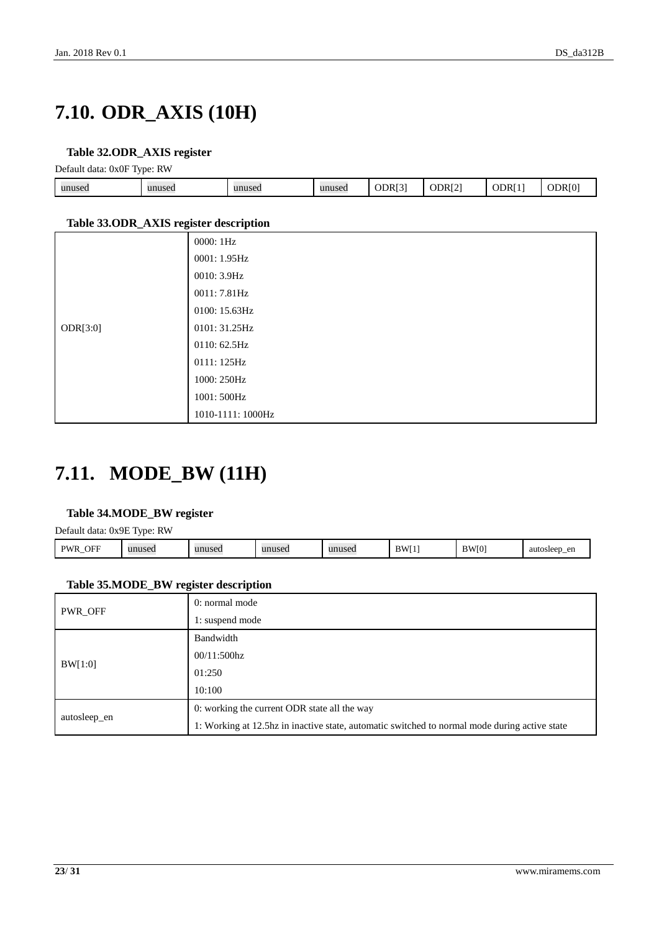# <span id="page-22-0"></span>**7.10. ODR\_AXIS (10H)**

#### <span id="page-22-2"></span>**Table 32.ODR\_AXIS register**

Default data: 0x0F Type: RW

| - -    |        |        |        |        |                    |     |   |
|--------|--------|--------|--------|--------|--------------------|-----|---|
| unused | unused | unused | unused | ODR[3] | ODR <sub>[2]</sub> | ODR | ж |
|        |        |        |        |        |                    |     |   |

#### <span id="page-22-3"></span>**Table 33.ODR\_AXIS register description**

| $\tilde{\phantom{a}}$ | 0000: 1Hz         |
|-----------------------|-------------------|
|                       | 0001: 1.95Hz      |
|                       | 0010: 3.9Hz       |
|                       | 0011: 7.81Hz      |
|                       | 0100: 15.63Hz     |
| ODR[3:0]              | 0101: 31.25Hz     |
|                       | 0110: 62.5Hz      |
|                       | 0111: 125Hz       |
|                       | 1000: 250Hz       |
|                       | 1001: 500Hz       |
|                       | 1010-1111: 1000Hz |

### <span id="page-22-1"></span>**7.11. MODE\_BW (11H)**

#### <span id="page-22-4"></span>**Table 34.MODE\_BW register**

Default data: 0x9E Type: RW

| OFF<br>DW <sub>L</sub><br>.711<br>- | unused | unusea | unused | unused | <b>BWI</b><br>., | $\overline{1}$<br>- 181 | auto<br>en<br>$H\alpha\alpha r$<br>,,,,,,,,,<br>.<br> |
|-------------------------------------|--------|--------|--------|--------|------------------|-------------------------|-------------------------------------------------------|
|                                     |        |        |        |        |                  |                         |                                                       |

#### <span id="page-22-5"></span>**Table 35.MODE\_BW register description**

| PWR_OFF      | 0: normal mode                                                                                |  |  |  |  |
|--------------|-----------------------------------------------------------------------------------------------|--|--|--|--|
|              | 1: suspend mode                                                                               |  |  |  |  |
|              | Bandwidth                                                                                     |  |  |  |  |
| BW[1:0]      | $00/11:500\text{hz}$                                                                          |  |  |  |  |
|              | 01:250                                                                                        |  |  |  |  |
|              | 10:100                                                                                        |  |  |  |  |
|              | 0: working the current ODR state all the way                                                  |  |  |  |  |
| autosleep_en | 1: Working at 12.5hz in inactive state, automatic switched to normal mode during active state |  |  |  |  |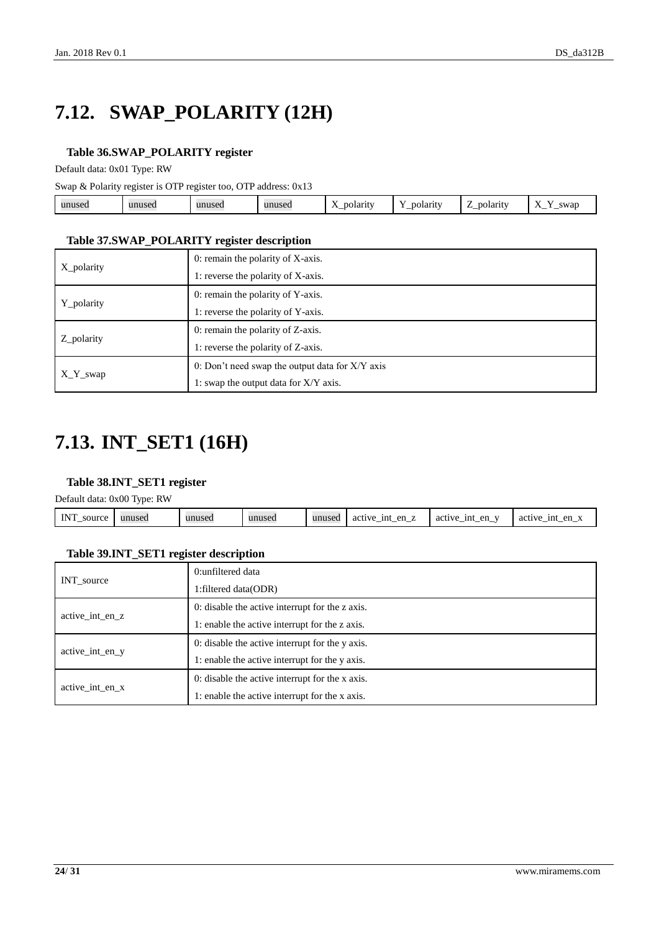# <span id="page-23-0"></span>**7.12. SWAP\_POLARITY (12H)**

#### <span id="page-23-2"></span>**Table 36.SWAP\_POLARITY register**

Default data: 0x01 Type: RW

Swap & Polarity register is OTP register too, OTP address: 0x13

| $\mathbf{v}$<br>polarity<br>swar<br>unused<br>unused<br>oolarit<br>unusea<br>.Jarity -<br>unused<br>ruscu<br>$\overline{1}$<br>-<br><u>—</u><br>$\overline{\phantom{a}}$<br>_<br>_ |
|------------------------------------------------------------------------------------------------------------------------------------------------------------------------------------|
|------------------------------------------------------------------------------------------------------------------------------------------------------------------------------------|

#### <span id="page-23-3"></span>**Table 37.SWAP\_POLARITY register description**

| X polarity | 0: remain the polarity of X-axis.                 |  |  |  |  |
|------------|---------------------------------------------------|--|--|--|--|
|            | 1: reverse the polarity of X-axis.                |  |  |  |  |
|            | 0: remain the polarity of Y-axis.                 |  |  |  |  |
| Y_polarity | 1: reverse the polarity of Y-axis.                |  |  |  |  |
|            | 0: remain the polarity of Z-axis.                 |  |  |  |  |
| Z_polarity | 1: reverse the polarity of Z-axis.                |  |  |  |  |
|            | 0: Don't need swap the output data for $X/Y$ axis |  |  |  |  |
| $X_Y$ swap | 1: swap the output data for X/Y axis.             |  |  |  |  |

## <span id="page-23-1"></span>**7.13. INT\_SET1 (16H)**

#### <span id="page-23-4"></span>**Table 38.INT\_SET1 register**

Default data: 0x00 Type: RW

|                      | _______ |        |        |        |                                    |                     |                                       |
|----------------------|---------|--------|--------|--------|------------------------------------|---------------------|---------------------------------------|
| <b>INT</b><br>source | unused  | unused | unused | unused | en<br>1nt<br>active<br>-___<br>$-$ | en<br>active<br>1nt | en<br>1nt<br>active<br>$\cdot$<br>. — |
|                      |         |        |        |        |                                    |                     |                                       |

#### <span id="page-23-5"></span>**Table 39.INT\_SET1 register description**

|                 | 0:unfiltered data                               |  |  |  |  |
|-----------------|-------------------------------------------------|--|--|--|--|
| INT_source      | 1: filtered data (ODR)                          |  |  |  |  |
|                 | 0: disable the active interrupt for the z axis. |  |  |  |  |
| active int en z | 1: enable the active interrupt for the z axis.  |  |  |  |  |
|                 | 0: disable the active interrupt for the y axis. |  |  |  |  |
| active int en y | 1: enable the active interrupt for the y axis.  |  |  |  |  |
|                 | 0: disable the active interrupt for the x axis. |  |  |  |  |
| active int en x | 1: enable the active interrupt for the x axis.  |  |  |  |  |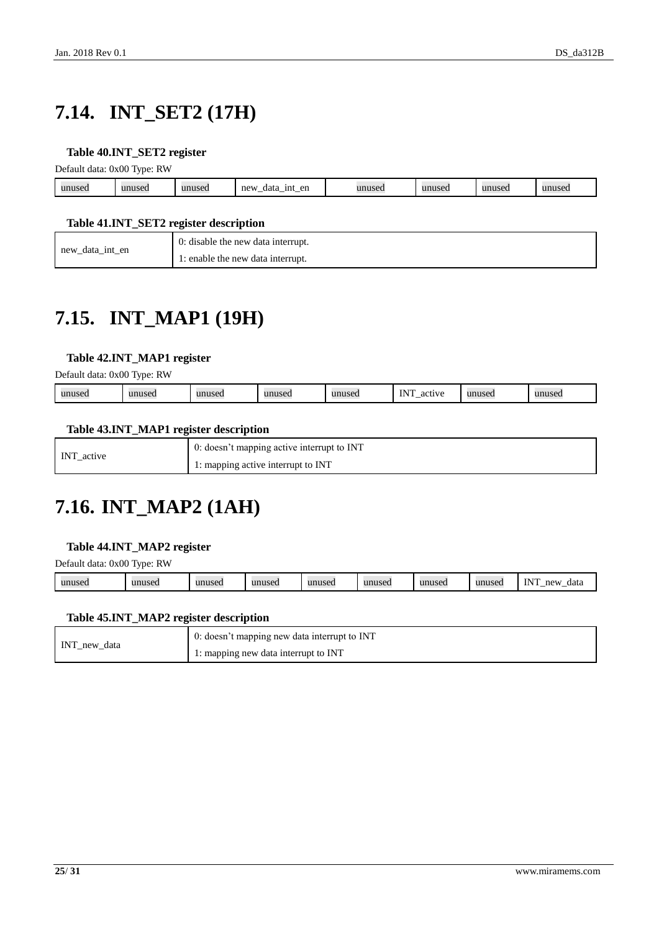# <span id="page-24-0"></span>**7.14. INT\_SET2 (17H)**

#### <span id="page-24-3"></span>**Table 40.INT\_SET2 register**

Default data: 0x00 Type: RW

|        | . .          |        |                                             |          |                                   |              |
|--------|--------------|--------|---------------------------------------------|----------|-----------------------------------|--------------|
| unused | $\mathbf{u}$ | unused | en<br>new<br>1nt<br>data<br><u>_</u><br>$-$ | 1111100t | 1111100<br><b><i>FILLS</i>CL.</b> | 1100<br>wuse |
|        |              |        |                                             |          |                                   |              |

#### <span id="page-24-4"></span>**Table 41.INT\_SET2 register description**

| new<br>data int en | 0: disable the new data interrupt. |
|--------------------|------------------------------------|
| –                  | 1: enable the new data interrupt.  |

## <span id="page-24-1"></span>**7.15. INT\_MAP1 (19H)**

#### <span id="page-24-5"></span>**Table 42.INT\_MAP1 register**

Default data: 0x00 Type: RW

| $N^{\prime}$<br>unuse.<br>1111100<br>unuse<br>0.01117<br>3.3.45<br>a<br>wa<br>$\cdots$<br>--<br>.<br>$\sim$ $\sim$ |
|--------------------------------------------------------------------------------------------------------------------|
|--------------------------------------------------------------------------------------------------------------------|

#### <span id="page-24-6"></span>**Table 43.INT\_MAP1 register description**

| INT active | 0: doesn't mapping active interrupt to INT |
|------------|--------------------------------------------|
|            | 1: mapping active interrupt to INT         |

## <span id="page-24-2"></span>**7.16. INT\_MAP2 (1AH)**

#### <span id="page-24-7"></span>**Table 44.INT\_MAP2 register**

Default data: 0x00 Type: RW

| <b>TNIT</b><br>unused<br>unused<br>unused<br>unused<br>mne<br>new<br>unused<br>unusec<br>1113<br>data<br>musec<br><br> |
|------------------------------------------------------------------------------------------------------------------------|
|------------------------------------------------------------------------------------------------------------------------|

#### <span id="page-24-8"></span>**Table 45.INT\_MAP2 register description**

| INT new data | $\overline{0}$ : doesn't mapping new data interrupt to INT |
|--------------|------------------------------------------------------------|
|              | <sup>1</sup> : mapping new data interrupt to INT           |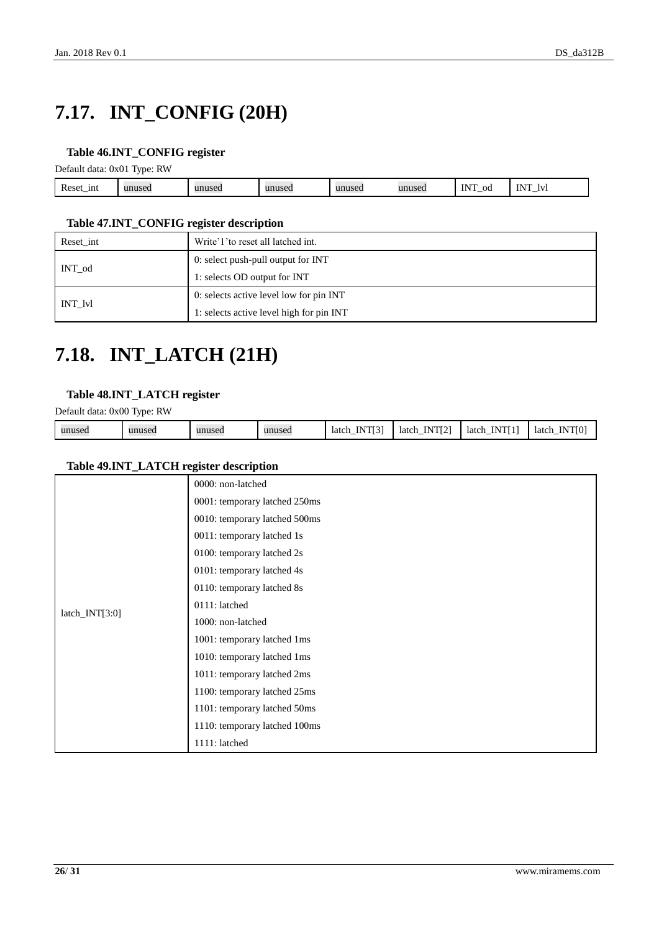# <span id="page-25-0"></span>**7.17. INT\_CONFIG (20H)**

#### <span id="page-25-2"></span>**Table 46.INT\_CONFIG register**

Default data: 0x01 Type: RW

| <b>D</b><br>1nt<br>Reset_1 | musea | unused | unused | nusea - | 111100<br>use | -- --<br>$\alpha$ | <b>INT</b><br>IV. |  |
|----------------------------|-------|--------|--------|---------|---------------|-------------------|-------------------|--|
|                            |       |        |        |         |               |                   |                   |  |

#### <span id="page-25-3"></span>**Table 47.INT\_CONFIG register description**

| Reset int | Write'1' to reset all latched int.       |  |  |  |
|-----------|------------------------------------------|--|--|--|
| INT od    | 0: select push-pull output for INT       |  |  |  |
|           | 1: selects OD output for INT             |  |  |  |
|           | 0: selects active level low for pin INT  |  |  |  |
| INT lvl   | 1: selects active level high for pin INT |  |  |  |

### <span id="page-25-1"></span>**7.18. INT\_LATCH (21H)**

#### <span id="page-25-4"></span>**Table 48.INT\_LATCH register**

Default data: 0x00 Type: RW

| unused | unused | unused | unused | <b>TAIRDEAT</b><br>N<br>latch<br>-------_- | TNTPCTA<br>ΙN<br>latch<br>$\overline{\phantom{0}}$ | VTI 11<br>latch<br><br>. | <b>INTIO</b><br>latch<br>. |
|--------|--------|--------|--------|--------------------------------------------|----------------------------------------------------|--------------------------|----------------------------|

#### <span id="page-25-5"></span>**Table 49.INT\_LATCH register description**

|                  | 0000: non-latched             |
|------------------|-------------------------------|
|                  | 0001: temporary latched 250ms |
|                  | 0010: temporary latched 500ms |
|                  | 0011: temporary latched 1s    |
|                  | 0100: temporary latched 2s    |
|                  | 0101: temporary latched 4s    |
|                  | 0110: temporary latched 8s    |
|                  | 0111: latched                 |
| $latch_NTT[3:0]$ | 1000: non-latched             |
|                  | 1001: temporary latched 1ms   |
|                  | 1010: temporary latched 1ms   |
|                  | 1011: temporary latched 2ms   |
|                  | 1100: temporary latched 25ms  |
|                  | 1101: temporary latched 50ms  |
|                  | 1110: temporary latched 100ms |
|                  | 1111: latched                 |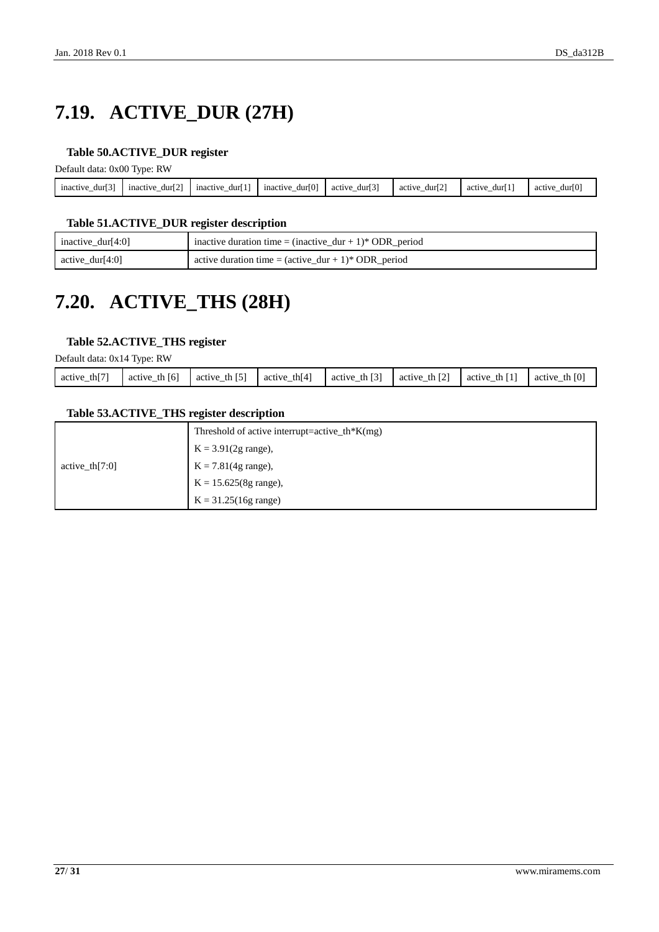# <span id="page-26-0"></span>**7.19. ACTIVE\_DUR (27H)**

#### <span id="page-26-2"></span>**Table 50.ACTIVE\_DUR register**

Default data: 0x00 Type: RW

| - -<br>inactive<br>dur'<br>$\overline{\phantom{a}}$ | <b>EA3</b><br>mactive<br>durl 2<br>$\overline{\phantom{a}}$ | .<br>mactive<br>dur'<br>$\overline{\phantom{a}}$ | dur[0]<br>mactive<br>- | ro 3<br>dur<br>active<br>$\overline{\phantom{a}}$ | ro:<br>dur12<br>activ<br>$\overline{\phantom{a}}$ | dur<br>active<br>$\overline{\phantom{a}}$ | ro <sup>x</sup><br>durll<br>activ<br>- |
|-----------------------------------------------------|-------------------------------------------------------------|--------------------------------------------------|------------------------|---------------------------------------------------|---------------------------------------------------|-------------------------------------------|----------------------------------------|
|                                                     |                                                             |                                                  |                        |                                                   |                                                   |                                           |                                        |

#### <span id="page-26-3"></span>**Table 51.ACTIVE\_DUR register description**

| inactive_dur[4:0]   | inactive duration time = $(inactive\_dur + 1)*ODR\_period$              |
|---------------------|-------------------------------------------------------------------------|
| $\arctive_dur[4:0]$ | active duration time = $(\text{active\_dur} + 1)^* \text{ ODR\_period}$ |

## <span id="page-26-1"></span>**7.20. ACTIVE\_THS (28H)**

#### <span id="page-26-4"></span>**Table 52.ACTIVE\_THS register**

Default data: 0x14 Type: RW

| th $[7]$<br>active | [6]<br>th<br>active | th $[5]$<br>active | th[4]<br>active | $\lceil 3 \rceil$<br>th<br>active | <b>ECT</b><br>th<br>active | th I<br>active | th $[0]$<br>active |
|--------------------|---------------------|--------------------|-----------------|-----------------------------------|----------------------------|----------------|--------------------|
|                    |                     |                    |                 |                                   |                            |                |                    |

#### <span id="page-26-5"></span>**Table 53.ACTIVE\_THS register description**

|                   | Threshold of active interrupt=active_th*K(mg) |
|-------------------|-----------------------------------------------|
|                   | $K = 3.91(2g \text{ range})$ ,                |
| active th $[7:0]$ | $K = 7.81(4g \text{ range}),$                 |
|                   | $K = 15.625(8g \text{ range}),$               |
|                   | $K = 31.25(16g \text{ range})$                |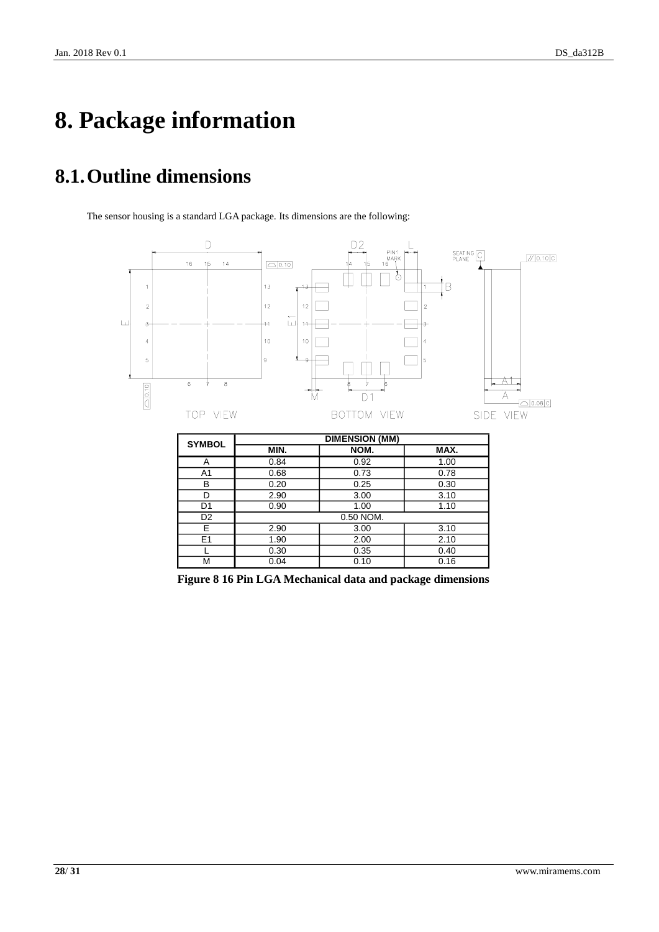# <span id="page-27-0"></span>**8. Package information**

## <span id="page-27-1"></span>**8.1.Outline dimensions**

The sensor housing is a standard LGA package. Its dimensions are the following:



<span id="page-27-2"></span>**Figure 8 16 Pin LGA Mechanical data and package dimensions**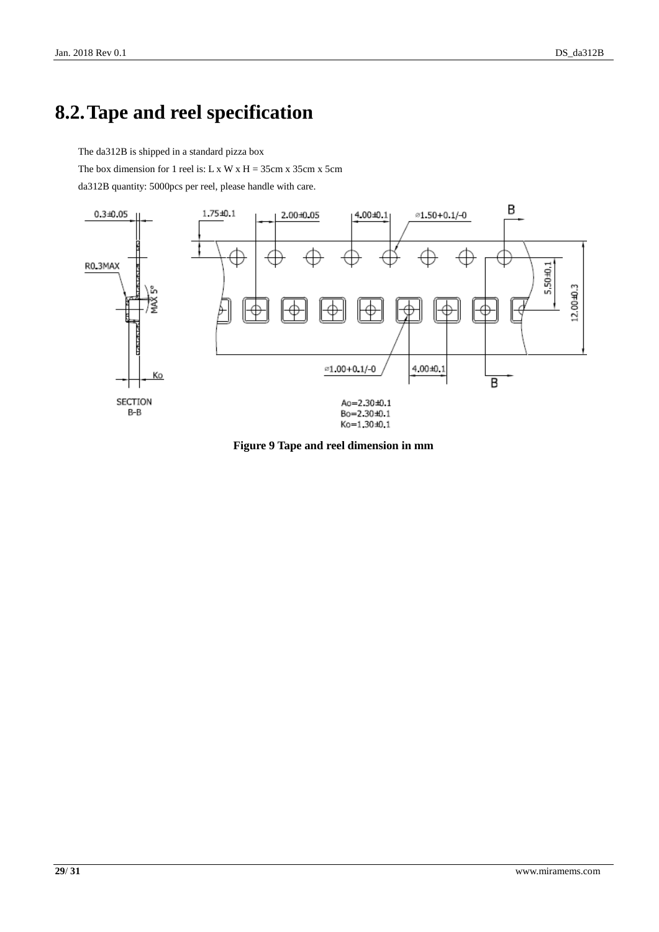### <span id="page-28-0"></span>**8.2.Tape and reel specification**

The da312B is shipped in a standard pizza box

The box dimension for 1 reel is: L x W x H =  $35cm x 35cm x 5cm$ 

da312B quantity: 5000pcs per reel, please handle with care.



<span id="page-28-1"></span>**Figure 9 Tape and reel dimension in mm**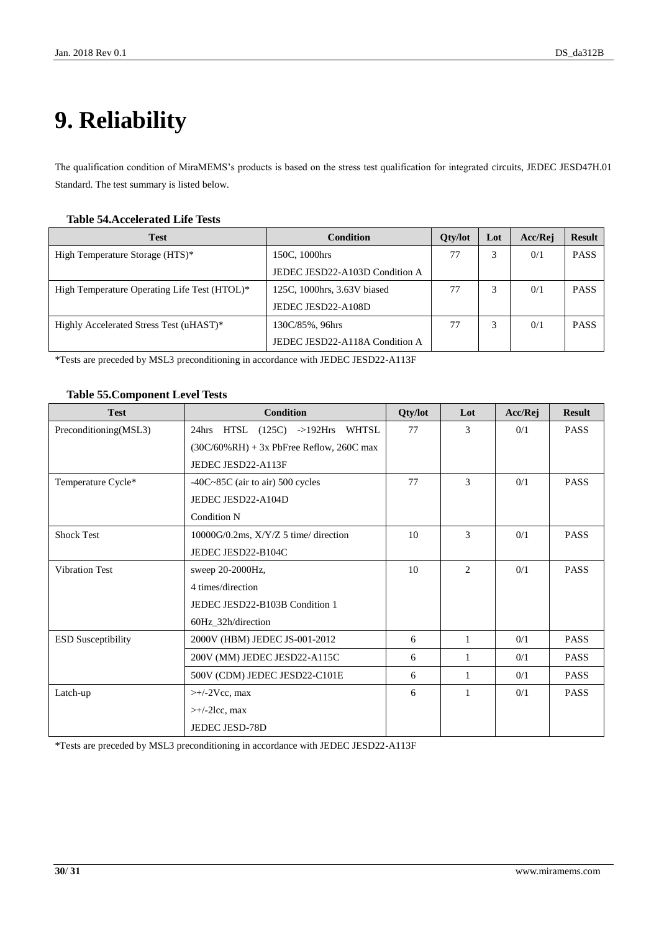# <span id="page-29-0"></span>**9. Reliability**

The qualification condition of MiraMEMS's products is based on the stress test qualification for integrated circuits, JEDEC JESD47H.01 Standard. The test summary is listed below.

#### <span id="page-29-1"></span>**Table 54.Accelerated Life Tests**

| <b>Test</b>                                  | Condition                      | <b>Oty/lot</b> | Lot | Acc/Rej | <b>Result</b> |
|----------------------------------------------|--------------------------------|----------------|-----|---------|---------------|
| High Temperature Storage (HTS)*              | 150C, 1000hrs                  | 77             |     | 0/1     | <b>PASS</b>   |
|                                              | JEDEC JESD22-A103D Condition A |                |     |         |               |
| High Temperature Operating Life Test (HTOL)* | 125C, 1000hrs, 3.63V biased    | 77             |     | 0/1     | <b>PASS</b>   |
|                                              | JEDEC JESD22-A108D             |                |     |         |               |
| Highly Accelerated Stress Test (uHAST)*      | 130C/85%, 96hrs                | 77             |     | 0/1     | <b>PASS</b>   |
|                                              | JEDEC JESD22-A118A Condition A |                |     |         |               |

\*Tests are preceded by MSL3 preconditioning in accordance with JEDEC JESD22-A113F

#### <span id="page-29-2"></span>**Table 55.Component Level Tests**

| <b>Test</b>               | <b>Condition</b>                             | Qty/lot | Lot | Acc/Rej | <b>Result</b> |
|---------------------------|----------------------------------------------|---------|-----|---------|---------------|
| Preconditioning(MSL3)     | 24hrs HTSL (125C) ->192Hrs WHTSL             | 77      | 3   | 0/1     | <b>PASS</b>   |
|                           | $(30C/60\% RH) + 3x$ PbFree Reflow, 260C max |         |     |         |               |
|                           | JEDEC JESD22-A113F                           |         |     |         |               |
| Temperature Cycle*        | $-40C-85C$ (air to air) 500 cycles           | 77      | 3   | 0/1     | <b>PASS</b>   |
|                           | JEDEC JESD22-A104D                           |         |     |         |               |
|                           | <b>Condition N</b>                           |         |     |         |               |
| <b>Shock Test</b>         | $10000G/0.2ms$ , $X/Y/Z$ 5 time/ direction   | 10      | 3   | 0/1     | <b>PASS</b>   |
|                           | JEDEC JESD22-B104C                           |         |     |         |               |
| <b>Vibration Test</b>     | sweep 20-2000Hz,                             | 10      | 2   | 0/1     | <b>PASS</b>   |
|                           | 4 times/direction                            |         |     |         |               |
|                           | JEDEC JESD22-B103B Condition 1               |         |     |         |               |
|                           | 60Hz_32h/direction                           |         |     |         |               |
| <b>ESD Susceptibility</b> | 2000V (HBM) JEDEC JS-001-2012                | 6       | 1   | 0/1     | <b>PASS</b>   |
|                           | 200V (MM) JEDEC JESD22-A115C                 | 6       | 1   | 0/1     | <b>PASS</b>   |
|                           | 500V (CDM) JEDEC JESD22-C101E                | 6       | 1   | 0/1     | <b>PASS</b>   |
| Latch-up                  | $\rightarrow$ +/-2Vcc, max                   |         | 1   | 0/1     | <b>PASS</b>   |
|                           | $\rightarrow$ +/-2lcc, max                   |         |     |         |               |
|                           | <b>JEDEC JESD-78D</b>                        |         |     |         |               |

\*Tests are preceded by MSL3 preconditioning in accordance with JEDEC JESD22-A113F